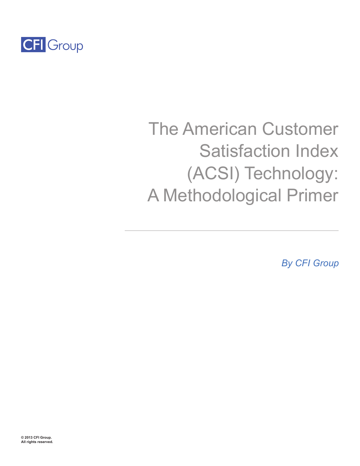

# The American Customer Satisfaction Index (ACSI) Technology: A Methodological Primer

*By CFI Group*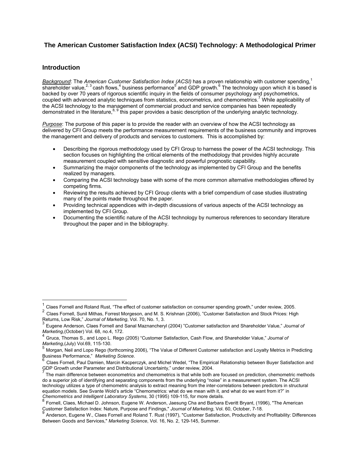# **The American Customer Satisfaction Index (ACSI) Technology: A Methodological Primer**

## **Introduction**

 $\overline{a}$ 

*Background*: The *American Customer Satisfaction Index (ACSI)* has a proven relationship with customer spending,<sup>1</sup> shareholder value,<sup>2, 3</sup> cash flows,<sup>4</sup> business performance<sup>5</sup> and GDP growth.<sup>6</sup> The technology upon which it is based is backed by over 70 years of rigorous scientific inquiry in the fields of consumer psychology and psychometrics, coupled with advanced analytic techniques from statistics, econometrics, and chemometrics.<sup>7</sup> While applicability of the ACSI technology to the management of commercial product and service companies has been repeatedly the AUST technology to the management of sommerstal preservative correct comparison of the underlying analytic technology.

*Purpose*: The purpose of this paper is to provide the reader with an overview of how the ACSI technology as delivered by CFI Group meets the performance measurement requirements of the business community and improves the management and delivery of products and services to customers. This is accomplished by:

- Describing the rigorous methodology used by CFI Group to harness the power of the ACSI technology. This section focuses on highlighting the critical elements of the methodology that provides highly accurate measurement coupled with sensitive diagnostic and powerful prognostic capability.
- Summarizing the major components of the technology as implemented by CFI Group and the benefits realized by managers.
- Comparing the ACSI technology base with some of the more common alternative methodologies offered by competing firms.
- Reviewing the results achieved by CFI Group clients with a brief compendium of case studies illustrating many of the points made throughout the paper.
- Providing technical appendices with in-depth discussions of various aspects of the ACSI technology as implemented by CFI Group.
- Documenting the scientific nature of the ACSI technology by numerous references to secondary literature throughout the paper and in the bibliography.

<sup>&</sup>lt;sup>1</sup> Claes Fornell and Roland Rust, "The effect of customer satisfaction on consumer spending growth," under review, 2005.<br><sup>2</sup> Claes Fornell, Supil Mithas, Forrest Mergeson, and M. S. Krishpan (2006). "Customer Satisfactio

<sup>2</sup> Claes Fornell, Sunil Mithas, Forrest Morgeson, and M. S. Krishnan (2006), "Customer Satisfaction and Stock Prices: High Returns, Low Risk," *Journal of Marketing*, Vol. 70, No. 1, 3.

<sup>3</sup> Eugene Anderson, Claes Fornell and Sanal Maznancheryl (2004) "Customer satisfaction and Shareholder Value," *Journal of* 

<sup>&</sup>lt;sup>4</sup> Gruca, Thomas S., and Lopo L. Rego (2005) "Customer Satisfaction, Cash Flow, and Shareholder Value," *Journal of Marketing*,(July) Vol.69, 115-130.

*Morgan, Neil and Lopo Rego (forthcoming 2006), "The Value of Different Customer satisfaction and Loyalty Metrics in Predicting* Business Performance," *Marketing Science*.<br><sup>6</sup> Claes Fornell, Paul Damien, Marcin Kacperczyk, and Michel Wedel, "The Empirical Relationship between Buyer Satisfaction and

GDP Growth under Parameter and Distributional Uncertainty," under review, 2004.

<sup>7</sup> The main difference between econometrics and chemometrics is that while both are focused on prediction, chemometric methods do a superior job of identifying and separating components from the underlying "noise" in a measurement system. The ACSI technology utilizes a type of chemometric analysis to extract meaning from the inter-correlations between predictors in structural equation models. See Svante Wold's article "Chemometrics: what do we mean with it, and what do we want from it?" in<br>Chemometrics and Intelligent Laboratory Systems, 30 (1995) 109-115, for more details.

Fornell, Claes, Michael D. Johnson, Eugene W. Anderson, Jaesung Cha and Barbara Everitt Bryant, (1996), "The American Customer Satisfaction Index: Nature, Purpose and Findings," *Journal of Marketing*, Vol. 60, October, 7-18.

<sup>9</sup> Anderson, Eugene W., Claes Fornell and Roland T. Rust (1997), "Customer Satisfaction, Productivity and Profitability: Differences Between Goods and Services," *Marketing Science*, Vol. 16, No. 2, 129-145, Summer.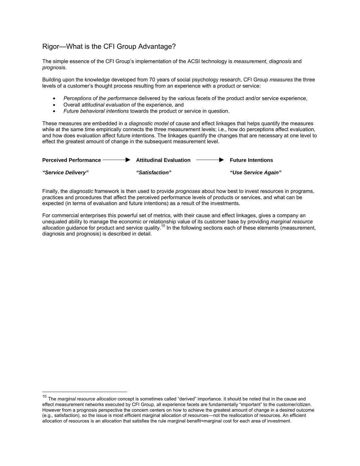# Rigor—What is the CFI Group Advantage?

The simple essence of the CFI Group's implementation of the ACSI technology is *measurement*, *diagnosis* and *prognosis*.

Building upon the knowledge developed from 70 years of social psychology research, CFI Group *measures* the three levels of a customer's thought process resulting from an experience with a product or service:

- *Perceptions of the performance* delivered by the various facets of the product and/or service experience,
- Overall *attitudinal evaluation* of the experience, and

 $\overline{a}$ 

• *Future behavioral intentions* towards the product or service in question.

These measures are embedded in a *diagnostic model* of cause and effect linkages that helps quantify the measures while at the same time empirically connects the three measurement levels; i.e., how do perceptions affect evaluation, and how does evaluation affect future intentions. The linkages quantify the changes that are necessary at one level to effect the greatest amount of change in the subsequent measurement level.

| Perceived Performance ——— | <b>Attitudinal Evaluation</b> | Future Intentions   |
|---------------------------|-------------------------------|---------------------|
| "Service Delivery"        | "Satisfaction"                | "Use Service Again" |

Finally, the *diagnostic* framework is then used to provide *prognoses* about how best to invest resources in programs, practices and procedures that affect the perceived performance levels of products or services, and what can be expected (in terms of evaluation and future intentions) as a result of the investments.

For commercial enterprises this powerful set of metrics, with their cause and effect linkages, gives a company an unequaled ability to manage the economic or relationship value of its customer base by providing *marginal resource*  allocation guidance for product and service quality.<sup>10</sup> In the following sections each of these elements (measurement, diagnosis and prognosis) is described in detail.

<sup>10</sup> The *marginal resource allocation* concept is sometimes called "derived" importance. It should be noted that in the cause and effect measurement networks executed by CFI Group, all experience facets are fundamentally "important" to the customer/citizen. However from a prognosis perspective the concern centers on how to achieve the greatest amount of change in a desired outcome (e.g., satisfaction), so the issue is most efficient marginal allocation of resources—not the reallocation of resources. An efficient allocation of resources is an allocation that satisfies the rule marginal benefit=marginal cost for each area of investment.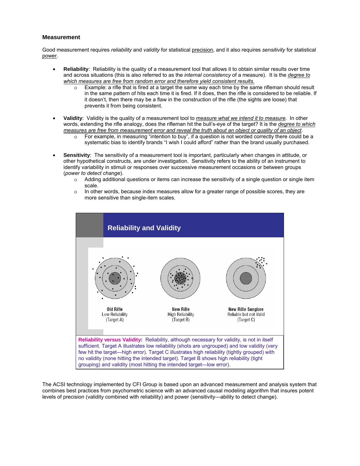#### **Measurement**

Good measurement requires *reliability* and *validity* for statistical precision, and it also requires *sensitivity* for statistical power.

- **Reliability**: Reliability is the quality of a measurement tool that allows it to obtain similar results over time and across situations (this is also referred to as the *internal consistency* of a measure). It is the *degree to which measures are free from random error and therefore yield consistent results.* 
	- o Example: a rifle that is fired at a target the same way each time by the same rifleman should result in the same pattern of hits each time it is fired. If it does, then the rifle is considered to be reliable. If it doesn't, then there may be a flaw in the construction of the rifle (the sights are loose) that prevents it from being consistent.
- **Validity**: Validity is the quality of a measurement tool to *measure what we intend it to measure*. In other words, extending the rifle analogy, does the rifleman hit the bull's-eye of the target? It is the *degree to which measures are free from measurement error and reveal the truth about an object or quality of an object*.
	- o For example, in measuring "intention to buy", if a question is not worded correctly there could be a systematic bias to identify brands "I wish I could afford" rather than the brand usually purchased.
- **Sensitivity**: The sensitivity of a measurement tool is important, particularly when changes in attitude, or other hypothetical constructs, are under investigation. Sensitivity refers to the ability of an instrument to identify variability in stimuli or responses over successive measurement occasions or between groups (*power to detect change*).
	- o Adding additional questions or items can increase the sensitivity of a single question or single item scale.
	- o In other words, because index measures allow for a greater range of possible scores, they are more sensitive than single-item scales.



The ACSI technology implemented by CFI Group is based upon an advanced measurement and analysis system that combines best practices from psychometric science with an advanced causal modeling algorithm that insures potent levels of precision (validity combined with reliability) and power (sensitivity—ability to detect change).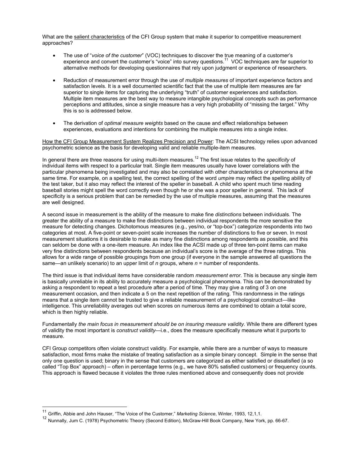What are the salient characteristics of the CFI Group system that make it superior to competitive measurement approaches?

- The use of "*voice of the customer*" (VOC) techniques to discover the true meaning of a customer's experience and convert the customer's "voice" into survey questions.<sup>11</sup> VOC techniques are far superior to alternative methods for developing questionnaires that rely upon judgment or experience of researchers.
- Reduction of measurement error through the use of *multiple measures* of important experience factors and satisfaction levels. It is a well documented scientific fact that the use of multiple item measures are far superior to single items for capturing the underlying "truth" of customer experiences and satisfaction. Multiple item measures are the best way to measure intangible psychological concepts such as performance perceptions and attitudes, since a single measure has a very high probability of "missing the target." Why this is so is addressed below.
- The derivation of *optimal measure weights* based on the cause and effect relationships between experiences, evaluations and intentions for combining the multiple measures into a single index.

How the CFI Group Measurement System Realizes Precision and Power: The ACSI technology relies upon advanced psychometric science as the basis for developing valid and reliable multiple-item measures.

In general there are three reasons for using multi-item measures.12 The first issue relates to the *specificity* of individual items with respect to a particular trait. Single item measures usually have lower correlations with the particular phenomena being investigated and may also be correlated with other characteristics or phenomena at the same time. For example, on a spelling test, the correct spelling of the word *umpire* may reflect the spelling ability of the test taker, but it also may reflect the interest of the speller in baseball. A child who spent much time reading baseball stories might spell the word correctly even though he or she was a poor speller in general. This lack of specificity is a serious problem that can be remedied by the use of multiple measures, assuming that the measures are well designed.

A second issue in measurement is the ability of the measure to make fine *distinctions* between individuals. The greater the ability of a measure to make fine distinctions between individual respondents the more sensitive the measure for detecting changes. Dichotomous measures (e.g., yes/no, or "top-box") categorize respondents into two categories at most. A five-point or seven-point scale increases the number of distinctions to five or seven. In most measurement situations it is desirable to make as many fine distinctions among respondents as possible, and this can seldom be done with a one-item measure. An index like the ACSI made up of three ten-point items can make very fine distinctions between respondents because an individual's score is the average of the three ratings. This allows for a wide range of possible groupings from one group (if everyone in the sample answered all questions the same—an unlikely scenario) to an upper limit of *n* groups, where *n* = number of respondents.

The third issue is that individual items have considerable random *measurement error*. This is because any single item is basically unreliable in its ability to accurately measure a psychological phenomena. This can be demonstrated by asking a respondent to repeat a test procedure after a period of time. They may give a rating of 3 on one measurement occasion, and then indicate a 5 on the next repetition of the rating. This randomness in the ratings means that a single item cannot be trusted to give a reliable measurement of a psychological construct—like intelligence. This unreliability averages out when scores on numerous items are combined to obtain a total score, which is then highly reliable.

Fundamentally *the main focus in measurement should be on insuring measure validity*. While there are different types of validity the most important is *construct validity*—i.e., does the measure specifically measure what it purports to measure.

CFI Group competitors often violate construct validity. For example, while there are a number of ways to measure satisfaction, most firms make the mistake of treating satisfaction as a simple binary concept. Simple in the sense that only one question is used; binary in the sense that customers are categorized as either satisfied or dissatisfied (a so called "Top Box" approach) – often in percentage terms (e.g., we have 80% satisfied customers) or frequency counts. This approach is flawed because it violates the three rules mentioned above and consequently does not provide

 $\overline{a}$ 

<sup>11</sup> Griffin, Abbie and John Hauser, "The Voice of the Customer," *Marketing Science*, Winter, 1993, 12,1,1.

<sup>12</sup> Nunnally, Jum C. (1978) Psychometric Theory (Second Edition), McGraw-Hill Book Company, New York, pp. 66-67.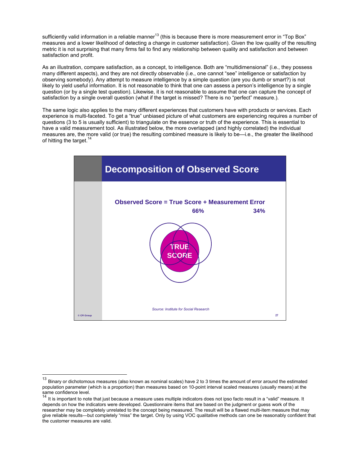sufficiently valid information in a reliable manner<sup>13</sup> (this is because there is more measurement error in "Top Box" measures and a lower likelihood of detecting a change in customer satisfaction). Given the low quality of the resulting metric it is not surprising that many firms fail to find any relationship between quality and satisfaction and between satisfaction and profit.

As an illustration, compare satisfaction, as a concept, to intelligence. Both are "multidimensional" (i.e., they possess many different aspects), and they are not directly observable (i.e., one cannot "see" intelligence or satisfaction by observing somebody). Any attempt to measure intelligence by a simple question (are you dumb or smart?) is not likely to yield useful information. It is not reasonable to think that one can assess a person's intelligence by a single question (or by a single test question). Likewise, it is not reasonable to assume that one can capture the concept of satisfaction by a single overall question (what if the target is missed? There is no "perfect" measure.).

The same logic also applies to the many different experiences that customers have with products or services. Each experience is multi-faceted. To get a "true" unbiased picture of what customers are experiencing requires a number of questions (3 to 5 is usually sufficient) to triangulate on the essence or truth of the experience. This is essential to have a valid measurement tool. As illustrated below, the more overlapped (and highly correlated) the individual measures are, the more valid (or true) the resulting combined measure is likely to be—i.e., the greater the likelihood of hitting the target.<sup>14</sup>



 $13\,$ <sup>13</sup> Binary or dichotomous measures (also known as nominal scales) have 2 to 3 times the amount of error around the estimated population parameter (which is a proportion) than measures based on 10-point interval scaled measures (usually means) at the

same confidence level.<br><sup>14</sup> It is important to note that just because a measure uses multiple indicators does not ipso facto result in a "valid" measure. It depends on how the indicators were developed. Questionnaire items that are based on the judgment or guess work of the researcher may be completely unrelated to the concept being measured. The result will be a flawed multi-item measure that may give reliable results—but completely "miss" the target. Only by using VOC qualitative methods can one be reasonably confident that the customer measures are valid.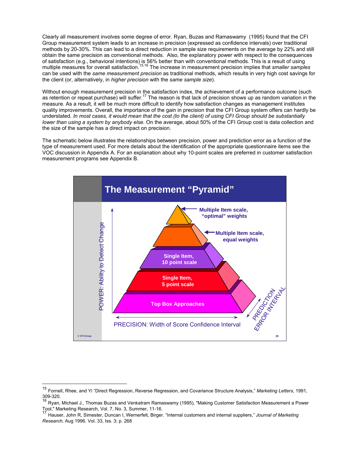Clearly all measurement involves some degree of error. Ryan, Buzas and Ramaswamy (1995) found that the CFI Group measurement system leads to an increase in precision (expressed as confidence intervals) over traditional methods by 20-30%. This can lead to a direct reduction in sample size requirements on the average by 22% and still obtain the same precision as conventional methods. Also, the explanatory power with respect to the consequences of satisfaction (e.g., behavioral intentions) is 56% better than with conventional methods. This is a result of using multiple measures for overall satisfaction.15,16 The increase in measurement precision implies that *smaller samples* can be used with the *same measurement precision* as traditional methods, which results in very high cost savings for the client (or, alternatively, in *higher precision* with the *same sample size*).

Without enough measurement precision in the satisfaction index, the achievement of a performance outcome (such as retention or repeat purchase) will suffer.<sup>17</sup> The reason is that lack of precision shows up as random variation in the measure. As a result, it will be much more difficult to identify how satisfaction changes as management institutes quality improvements. Overall, the importance of the gain in precision that the CFI Group system offers can hardly be understated. *In most cases, it would mean that the cost (to the client) of using CFI Group should be substantially lower than using a system by anybody else.* On the average, about 50% of the CFI Group cost is data collection and the size of the sample has a direct impact on precision.

The schematic below illustrates the relationships between precision, power and prediction error as a function of the type of measurement used. For more details about the identification of the appropriate questionnaire items see the VOC discussion in Appendix A. For an explanation about why 10-point scales are preferred in customer satisfaction measurement programs see Appendix B.



 $15$ <sup>15</sup> Fornell, Rhee, and Yi "Direct Regression, Reverse Regression, and Covariance Structure Analysis," *Marketing Letters*, 1991, 309-320.

<sup>16</sup> Ryan, Michael J., Thomas Buzas and Venkatram Ramaswamy (1995), "Making Customer Satisfaction Measurement a Power Tool," Marketing Research, Vol. 7, No. 3, Summer, 11-16.

<sup>17</sup> Hauser, John R, Simester, Duncan I, Wernerfelt, Birger. "Internal customers and internal suppliers," *Journal of Marketing Research,* Aug 1996. Vol. 33, Iss. 3; p. 268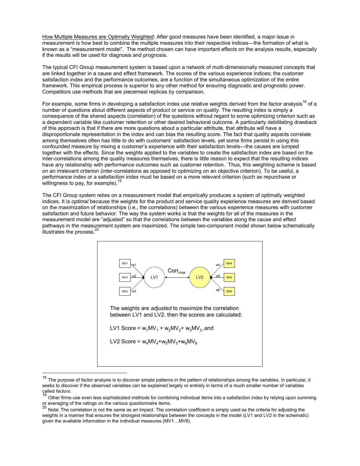How Multiple Measures are Optimally Weighted: After good measures have been identified, a major issue in measurement is how best to combine the multiple measures into their respective indices—the formation of what is known as a "measurement model". The method chosen can have important effects on the analysis results, especially if the results will be used for diagnosis and prognosis.

The typical CFI Group measurement system is based upon a network of multi-dimensionally measured concepts that are linked together in a cause and effect framework. The scores of the various experience indices; the customer satisfaction index and the performance outcomes, are a function of the simultaneous optimization of the entire framework. This empirical process is superior to any other method for ensuring diagnostic and prognostic power. Competitors use methods that are piecemeal replicas by comparison.

For example, some firms in developing a satisfaction index use relative weights derived from the factor analysis<sup>18</sup> of a number of questions about different aspects of product or service on quality. The resulting index is simply a consequence of the shared aspects (correlation) of the questions without regard to some optimizing criterion such as a dependent variable like customer retention or other desired behavioral outcome. A particularly debilitating drawback of this approach is that if there are more questions about a particular attribute, that attribute will have a disproportionate representation in the index and can bias the resulting score. The fact that quality aspects correlate among themselves often has little to do with customers' satisfaction levels, yet some firms persist in using this confounded measure by mixing a customer's experience with their satisfaction levels—the causes are lumped together with the effects. Since the weights applied to the variables to create the satisfaction index are based on the inter-correlations among the quality measures themselves, there is little reason to expect that the resulting indices have any relationship with performance outcomes such as customer retention. Thus, this weighting scheme is based on an irrelevant criterion (inter-correlations as opposed to optimizing on an objective criterion). To be useful, a performance index or a satisfaction index must be based on a more relevant criterion (such as repurchase or willingness to pay, for example).<sup>19</sup>

The CFI Group system relies on a measurement model that empirically produces a system of optimally weighted indices. It is *optimal* because the weights for the product and service quality experience measures are derived based on the maximization of relationships (i.e., the correlations) between the various experience measures with customer satisfaction and future behavior*.* The way the system works is that the weights for all of the measures in the measurement model are "adjusted" so that the correlations between the variables along the cause and effect pathways in the measurement system are maximized. The simple two-component model shown below schematically illustrates the process. $20$ 



 $18$  The purpose of factor analysis is to discover simple patterns in the pattern of relationships among the variables. In particular, it seeks to discover if the observed variables can be explained largely or entirely in terms of a much smaller number of variables

 $\overline{a}$ 

called *factors*.<br><sup>19</sup> Other firms use even less sophisticated methods for combining individual items into a satisfaction index by relying upon summing or averaging of the ratings on the various questionnaire items.<br><sup>20</sup> Note: The correlation is not the same as an impact. The correlation coefficient is simply used as the criteria for adjusting the

weights in a manner that ensures the strongest relationships between the concepts in the model (LV1 and LV2 in the schematic) given the available information in the individual measures (MV1…MV6).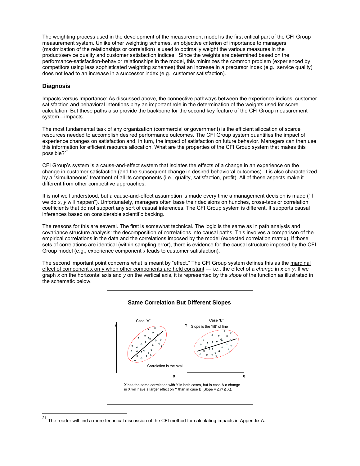The weighting process used in the development of the measurement model is the first critical part of the CFI Group measurement system. Unlike other weighting schemes, an objective criterion of importance to managers (maximization of the relationships or correlation) is used to optimally weight the various measures in the product/service quality and customer satisfaction indices. Since the weights are determined based on the performance-satisfaction-behavior relationships in the model, this minimizes the common problem (experienced by competitors using less sophisticated weighting schemes) that an increase in a precursor index (e.g., service quality) does not lead to an increase in a successor index (e.g., customer satisfaction).

### **Diagnosis**

 $\overline{a}$ 

Impacts versus Importance: As discussed above, the connective pathways between the experience indices, customer satisfaction and behavioral intentions play an important role in the determination of the weights used for score calculation. But these paths also provide the backbone for the second key feature of the CFI Group measurement system—impacts.

The most fundamental task of any organization (commercial or government) is the efficient allocation of scarce resources needed to accomplish desired performance outcomes. The CFI Group system quantifies the impact of experience changes on satisfaction and, in turn, the impact of satisfaction on future behavior. Managers can then use this information for efficient resource allocation. What are the properties of the CFI Group system that makes this possible?<sup>21</sup>

CFI Group's system is a cause-and-effect system that isolates the effects of a change in an experience on the change in customer satisfaction (and the subsequent change in desired behavioral outcomes). It is also characterized by a "simultaneous" treatment of all its components (i.e., quality, satisfaction, profit). All of these aspects make it different from other competitive approaches.

It is not well understood, but a cause-and-effect assumption is made every time a management decision is made ("if we do *x*, *y* will happen"). Unfortunately, managers often base their decisions on hunches, cross-tabs or correlation coefficients that do not support any sort of casual inferences. The CFI Group system is different. It supports causal inferences based on considerable scientific backing.

The reasons for this are several. The first is somewhat technical. The logic is the same as in path analysis and covariance structure analysis: the decomposition of correlations into causal paths. This involves a comparison of the empirical correlations in the data and the correlations imposed by the model (expected correlation matrix). If those sets of correlations are identical (within sampling error), there is evidence for the causal structure imposed by the CFI Group model (e.g., experience component *x* leads to customer satisfaction).

The second important point concerns what is meant by "effect." The CFI Group system defines this as the marginal effect of component x on y when other components are held constant — i.e., the effect of a *change* in *x* on *y*. If we graph *x* on the horizontal axis and *y* on the vertical axis, it is represented by the *slope* of the function as illustrated in the schematic below.



<sup>&</sup>lt;sup>21</sup> The reader will find a more technical discussion of the CFI method for calculating impacts in Appendix A.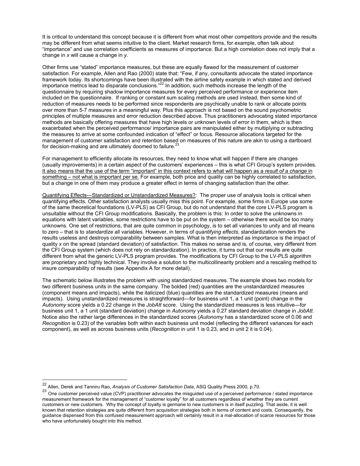It is critical to understand this concept because it is different from what most other competitors provide and the results may be different from what seems intuitive to the client. Market research firms, for example, often talk about "importance" and use correlation coefficients as measures of importance. But a high correlation does not imply that a change in *x* will cause a change in *y*.

Other firms use "stated" importance measures, but these are equally flawed for the measurement of customer satisfaction. For example, Allen and Rao (2000) state that: "Few, if any, consultants advocate the stated importance framework today. Its shortcomings have been illustrated with the airline safety example in which stated and derived importance metrics lead to disparate conclusions."22 In addition, such methods increase the length of the questionnaire by requiring shadow importance measures for every perceived performance or experience item included on the questionnaire. If ranking or constant sum scaling methods are used instead, then some kind of reduction of measures needs to be performed since respondents are psychically unable to rank or allocate points over more than 5-7 measures in a meaningful way. Plus this approach is not based on the sound psychometric principles of multiple measures and error reduction described above. Thus practitioners advocating stated importance methods are basically offering measures that have high levels or unknown levels of error in them, which is then exacerbated when the perceived performance/ importance pairs are manipulated either by multiplying or subtracting the measures to arrive at some confounded indication of "effect" or focus. Resource allocations targeted for the management of customer satisfaction and retention based on measures of this nature are akin to using a dartboard for decision-making and are ultimately doomed to failure.<sup>23</sup>

For management to efficiently allocate its resources, they need to know what will happen if there are changes (usually improvements) in a certain aspect of the customers' experiences – this is what CFI Group's system provides. It also means that the use of the term "important" in this context refers to what will happen as a *result of a change* in something – not what is important per se. For example, both price and quality can be highly correlated to satisfaction, but a change in one of them may produce a greater effect in terms of changing satisfaction than the other.

Quantifying Effects—Standardized or Unstandardized Measures?: The proper use of analysis tools is critical when quantifying effects. Other satisfaction analysts usually miss this point. For example, some firms in Europe use some of the same theoretical foundations (LV-PLS) as CFI Group, but do not understand that the core LV-PLS program is unsuitable without the CFI Group modifications. Basically, the problem is this: In order to solve the unknowns in equations with latent variables, some restrictions have to be put on the system – otherwise there would be too many unknowns. One set of restrictions, that are quite common in psychology, is to set all variances to unity and all means to zero – that is to *standardize* all variables. However, in terms of *quantifying effects*, standardization renders the results useless and destroys comparability between samples. What is then interpreted as importance is the impact of quality *x* on the spread (standard deviation) of satisfaction. This makes no sense and is, of course, very different from the CFI Group system (which does not rely on standardization). In practice, it turns out that our results are quite different from what the generic LV-PLS program provides. The modifications by CFI Group to the LV-PLS algorithm are proprietary and highly technical. They involve a solution to the multicollinearity problem and a rescaling method to insure comparability of results (see Appendix A for more detail).

The schematic below illustrates the problem with using standardized measures. The example shows two models for two different business units in the same company. The bolded (red) quantities are the unstandardized measures (component means and impacts), while the italicized (blue) quantities are the standardized measures (means and impacts). Using unstandardized measures is straightforward—for business unit 1, a 1 unit (point) change in the *Autonomy* score yields a 0.22 change in the *JobAtt* score. Using the standardized measures is less intuitive—for business unit 1, a 1 unit (standard deviation) change in *Autonomy* yields a 0.27 standard deviation change in *JobAtt*. Notice also the rather large differences in the standardized scores (*Autonomy* has a standardized score of 0.06 and *Recognition* is 0.23) of the variables both within each business unit model (reflecting the different variances for each component), as well as across business units (*Recognition* in unit 1 is 0.23, and in unit 2 it is 0.04).

 $\overline{a}$ 

<sup>22</sup> Allen, Derek and Tanniru Rao, *Analysis of Customer Satisfaction Data*, ASQ Quality Press 2000, p.70.

<sup>&</sup>lt;sup>23</sup> One customer perceived value (CVP) practitioner advocates the misguided use of a perceived performance / stated importance measurement framework for the management of "customer loyalty" for all customers regardless of whether they are current customers or new customers. Why the concept of loyalty is germane to new customers is in itself puzzling. That aside, it is well known that retention strategies are quite different from acquisition strategies both in terms of content and costs. Consequently, the guidance dispensed from this confused measurement approach will certainly result in a mal-allocation of scarce resources for those who have unfortunately bought into this method.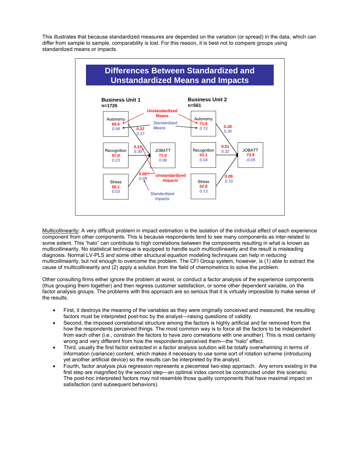This illustrates that because standardized measures are depended on the variation (or spread) in the data, which can differ from sample to sample, comparability is lost. For this reason, it is best not to compare groups using standardized means or impacts.



Multicollinearity: A very difficult problem in impact estimation is the isolation of the individual effect of each experience component from other components. This is because respondents tend to see many components as inter-related to some extent. This "halo" can contribute to high correlations between the components resulting in what is known as multicollinearity. No statistical technique is equipped to handle such multicollinearity and the result is misleading diagnosis. Normal LV-PLS and some other structural equation modeling techniques can help in reducing multicollinearity, but not enough to overcome the problem. The CFI Group system, however, is (1) able to extract the cause of multicollinearity and (2) apply a solution from the field of chemometrics to solve the problem.

Other consulting firms either ignore the problem at worst, or conduct a factor analysis of the experience components (thus grouping them together) and then regress customer satisfaction, or some other dependent variable, on the factor analysis groups. The problems with this approach are so serious that it is virtually impossible to make sense of the results.

- First, it destroys the meaning of the variables as they were originally conceived and measured; the resulting factors must be interpreted post-hoc by the analyst—raising questions of validity.
- Second, the imposed correlational structure among the factors is highly artificial and far removed from the how the respondents perceived things. The most common way is to force all the factors to be independent from each other (i.e., constrain the factors to have zero correlations with one another). This is most certainly wrong and very different from how the respondents perceived them—the "halo" effect.
- Third, usually the first factor extracted in a factor analysis solution will be totally overwhelming in terms of information (variance) content, which makes it necessary to use some sort of rotation scheme (introducing yet another artificial device) so the results can be interpreted by the analyst.
- Fourth, factor analysis plus regression represents a piecemeal two-step approach. Any errors existing in the first step are magnified by the second step—an optimal index cannot be constructed under this scenario. The post-hoc interpreted factors may not resemble those quality components that have maximal impact on satisfaction (and subsequent behaviors).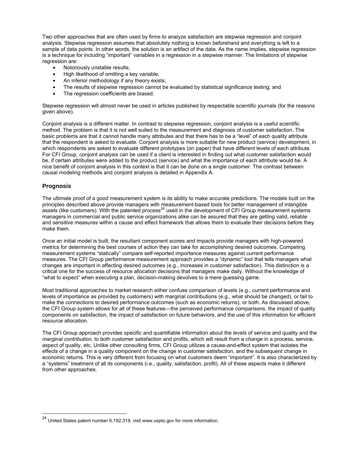Two other approaches that are often used by firms to analyze satisfaction are stepwise regression and conjoint analysis. Stepwise regression assumes that absolutely nothing is known beforehand and everything is left to a sample of data points. In other words, the solution is an artifact of the data. As the name implies, stepwise regression is a technique for including "important" variables in a regression in a stepwise manner. The limitations of stepwise regression are:

- Notoriously unstable results;
- High likelihood of omitting a key variable;
- An inferior methodology if any theory exists;
- The results of stepwise regression cannot be evaluated by statistical significance testing; and
- The regression coefficients are biased.

Stepwise regression will almost never be used in articles published by respectable scientific journals (for the reasons given above).

Conjoint analysis is a different matter. In contrast to stepwise regression, conjoint analysis is a useful scientific method. The problem is that it is not well suited to the measurement and diagnosis of customer satisfaction. The basic problems are that it cannot handle many attributes and that there has to be a "level" of each quality attribute that the respondent is asked to evaluate. Conjoint analysis is more suitable for new product (service) development, in which respondents are asked to evaluate different prototypes (on paper) that have different levels of each attribute. For CFI Group, conjoint analysis can be used if a client is interested in finding out what customer satisfaction would be, if certain attributes were added to the product (service) and what the importance of each attribute would be. A nice benefit of conjoint analysis in this context is that it can be done on a single customer. The contrast between causal modeling methods and conjoint analysis is detailed in Appendix A.

#### **Prognosis**

 $\overline{a}$ 

The ultimate proof of a good measurement system is its ability to make accurate predictions. The models built on the principles described above provide managers with measurement-based tools for better management of intangible assets (like customers). With the patented process<sup>24</sup> used in the development of CFI Group measurement systems managers in commercial and public service organizations alike can be assured that they are getting valid, reliable and sensitive measures within a cause and effect framework that allows them to evaluate their decisions before they make them.

Once an initial model is built, the resultant component scores and impacts provide managers with high-powered metrics for determining the best courses of action they can take for accomplishing desired outcomes. Competing measurement systems "statically" compare self-reported importance measures against current performance measures. The CFI Group performance measurement approach provides a "dynamic" tool that tells managers what changes are important in affecting desired outcomes (e.g., increases in customer satisfaction). This distinction is a critical one for the success of resource allocation decisions that managers make daily. Without the knowledge of "what to expect" when executing a plan, decision-making devolves to a mere guessing game.

Most traditional approaches to market research either confuse comparison of levels (e.g., current performance and levels of importance as provided by customers) with marginal contributions (e.g., what should be changed), or fail to make the connections to desired performance outcomes (such as economic returns), or both. As discussed above, the CFI Group system allows for all of these features—the perceived performance comparisons, the impact of quality components on satisfaction, the impact of satisfaction on future behaviors, and the use of this information for efficient resource allocation.

The CFI Group approach provides specific and quantifiable information about the *levels* of service and quality and the *marginal contribution*, to both customer satisfaction and profits, which will result from a *change* in a process, service, aspect of quality, etc. Unlike other consulting firms, CFI Group utilizes a cause-and-effect system that isolates the effects of a change in a quality component on the change in customer satisfaction, and the subsequent change in economic returns. This is very different from focusing on what customers deem "important". It is also characterized by a "systems" treatment of all its components (i.e., quality, satisfaction, profit). All of these aspects make it different from other approaches.

 $^{24}$  United States patent number 6,192,319, visit www.uspto.gov for more information.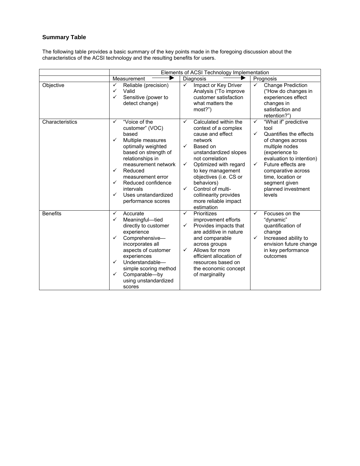# **Summary Table**

The following table provides a basic summary of the key points made in the foregoing discussion about the characteristics of the ACSI technology and the resulting benefits for users.

|                 | Elements of ACSI Technology Implementation                                                                                                                                                                                                                                                                  |                                                                                                                                                                                                                                                                                                                                    |                                                                                                                                                                                                                                                                                         |  |
|-----------------|-------------------------------------------------------------------------------------------------------------------------------------------------------------------------------------------------------------------------------------------------------------------------------------------------------------|------------------------------------------------------------------------------------------------------------------------------------------------------------------------------------------------------------------------------------------------------------------------------------------------------------------------------------|-----------------------------------------------------------------------------------------------------------------------------------------------------------------------------------------------------------------------------------------------------------------------------------------|--|
|                 | Measurement                                                                                                                                                                                                                                                                                                 | Diagnosis                                                                                                                                                                                                                                                                                                                          | Prognosis                                                                                                                                                                                                                                                                               |  |
| Objective       | $\checkmark$<br>Reliable (precision)<br>✓<br>Valid<br>Sensitive (power to<br>✓<br>detect change)                                                                                                                                                                                                            | Impact or Key Driver<br>✓<br>Analysis ("To improve<br>customer satisfaction<br>what matters the<br>most?")                                                                                                                                                                                                                         | <b>Change Prediction</b><br>$\checkmark$<br>("How do changes in<br>experiences effect<br>changes in<br>satisfaction and<br>retention?")                                                                                                                                                 |  |
| Characteristics | "Voice of the<br>✓<br>customer" (VOC)<br>based<br>✓<br>Multiple measures<br>optimally weighted<br>based on strength of<br>relationships in<br>measurement network<br>$\checkmark$<br>Reduced<br>measurement error<br>✓<br>Reduced confidence<br>intervals<br>✓<br>Uses unstandardized<br>performance scores | Calculated within the<br>✓<br>context of a complex<br>cause and effect<br>network<br>✓<br>Based on<br>unstandardized slopes<br>not correlation<br>Optimized with regard<br>✓<br>to key management<br>objectives (i.e. CS or<br>behaviors)<br>✓<br>Control of multi-<br>collinearity provides<br>more reliable impact<br>estimation | "What if" predictive<br>$\checkmark$<br>tool<br>Quantifies the effects<br>✓<br>of changes across<br>multiple nodes<br>(experience to<br>evaluation to intention)<br>✓<br>Future effects are<br>comparative across<br>time, location or<br>segment given<br>planned investment<br>levels |  |
| <b>Benefits</b> | Accurate<br>✓<br>✓<br>Meaningful-tied<br>directly to customer<br>experience<br>Comprehensive-<br>✓<br>incorporates all<br>aspects of customer<br>experiences<br>✓<br>Understandable-<br>simple scoring method<br>Comparable-by<br>✓<br>using unstandardized<br>scores                                       | Prioritizes<br>✓<br>improvement efforts<br>Provides impacts that<br>✓<br>are additive in nature<br>and comparable<br>across groups<br>Allows for more<br>✓<br>efficient allocation of<br>resources based on<br>the economic concept<br>of marginality                                                                              | Focuses on the<br>✓<br>"dynamic"<br>quantification of<br>change<br>$\checkmark$<br>Increased ability to<br>envision future change<br>in key performance<br>outcomes                                                                                                                     |  |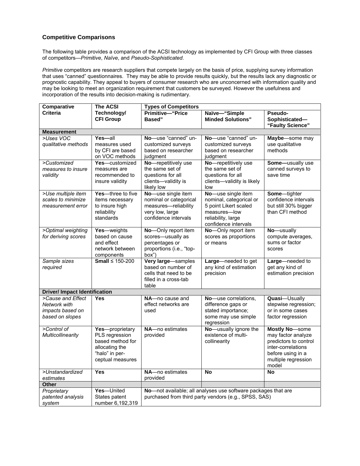## **Competitive Comparisons**

The following table provides a comparison of the ACSI technology as implemented by CFI Group with three classes of competitors—*Primitive*, *Naïve*, and *Pseudo-Sophisticated*.

*Primitive* competitors are research suppliers that compete largely on the basis of price, supplying survey information that uses "canned" questionnaires. They may be able to provide results quickly, but the results lack any diagnostic or prognostic capability. They appeal to buyers of consumer research who are unconcerned with information quality and may be looking to meet an organization requirement that customers be surveyed. However the usefulness and incorporation of the results into decision-making is rudimentary.

| Comparative                                                              | <b>The ACSI</b>                                                                                               | <b>Types of Competitors</b>                                                                                     |                                                                                                                                      |                                                                                                                                                 |
|--------------------------------------------------------------------------|---------------------------------------------------------------------------------------------------------------|-----------------------------------------------------------------------------------------------------------------|--------------------------------------------------------------------------------------------------------------------------------------|-------------------------------------------------------------------------------------------------------------------------------------------------|
| <b>Criteria</b>                                                          | Technology/<br><b>CFI Group</b>                                                                               | Primitive-"Price<br>Based"                                                                                      | Naïve-"Simple<br><b>Minded Solutions"</b>                                                                                            | Pseudo-<br>Sophisticated-<br>"Faulty Science"                                                                                                   |
| <b>Measurement</b>                                                       |                                                                                                               |                                                                                                                 |                                                                                                                                      |                                                                                                                                                 |
| >Uses VOC<br>qualitative methods                                         | Yes-all<br>measures used<br>by CFI are based<br>on VOC methods                                                | No-use "canned" un-<br>customized surveys<br>based on researcher<br>judgment                                    | No-use "canned" un-<br>customized surveys<br>based on researcher<br>judgment                                                         | Maybe-some may<br>use qualitative<br>methods                                                                                                    |
| >Customized<br>measures to insure<br>validity                            | Yes-customized<br>measures are<br>recommended to<br>insure validity                                           | No-repetitively use<br>the same set of<br>questions for all<br>clients-validity is<br>likely low                | No-repetitively use<br>the same set of<br>questions for all<br>clients-validity is likely<br>low                                     | Some-usually use<br>canned surveys to<br>save time                                                                                              |
| >Use multiple item<br>scales to minimize<br>measurement error            | Yes---three to five<br>items necessary<br>to insure high<br>reliability<br>standards                          | No-use single item<br>nominal or categorical<br>measures-reliability<br>very low, large<br>confidence intervals | No-use single item<br>nominal, categorical or<br>5 point Likert scaled<br>measures-low<br>reliability, large<br>confidence intervals | Some-tighter<br>confidence intervals<br>but still 30% bigger<br>than CFI method                                                                 |
| >Optimal weighting<br>for deriving scores                                | Yes-weights<br>based on cause<br>and effect<br>network between<br>components                                  | No-Only report item<br>scores-usually as<br>percentages or<br>proportions (i.e., "top-<br>box")                 | No-Only report item<br>scores as proportions<br>or means                                                                             | No-usually<br>compute averages,<br>sums or factor<br>scores                                                                                     |
| Sample sizes<br>required                                                 | Small $\leq 150 - 200$                                                                                        | Very large-samples<br>based on number of<br>cells that need to be<br>filled in a cross-tab<br>table             | Large-needed to get<br>any kind of estimation<br>precision                                                                           | Large-needed to<br>get any kind of<br>estimation precision                                                                                      |
| <b>Driver/Impact Identification</b>                                      |                                                                                                               |                                                                                                                 |                                                                                                                                      |                                                                                                                                                 |
| >Cause and Effect<br>Network with<br>impacts based on<br>based on slopes | <b>Yes</b>                                                                                                    | NA-no cause and<br>effect networks are<br>used                                                                  | No-use correlations,<br>difference gaps or<br>stated importance;<br>some may use simple<br>regression                                | <b>Quasi-Usually</b><br>stepwise regression;<br>or in some cases<br>factor regression                                                           |
| >Control of<br>Multicollinearity                                         | Yes-proprietary<br>PLS regression<br>based method for<br>allocating the<br>"halo" in per-<br>ceptual measures | NA-no estimates<br>provided                                                                                     | No-usually ignore the<br>existence of multi-<br>collinearity                                                                         | <b>Mostly No-some</b><br>may factor analyze<br>predictors to control<br>inter-correlations<br>before using in a<br>multiple regression<br>model |
| >Unstandardized<br>estimates                                             | <b>Yes</b>                                                                                                    | NA-no estimates<br>provided                                                                                     | <b>No</b>                                                                                                                            | <b>No</b>                                                                                                                                       |
| <b>Other</b>                                                             |                                                                                                               |                                                                                                                 |                                                                                                                                      |                                                                                                                                                 |
| Proprietary<br>patented analysis<br>system                               | Yes-United<br>States patent<br>number 6,192,319                                                               |                                                                                                                 | No-not available; all analyses use software packages that are<br>purchased from third party vendors (e.g., SPSS, SAS)                |                                                                                                                                                 |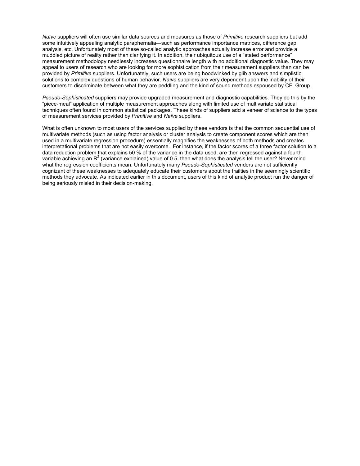*Naïve* suppliers will often use similar data sources and measures as those of *Primitive* research suppliers but add some intuitively appealing analytic paraphernalia—such as performance importance matrices, difference gap analysis, etc. Unfortunately most of these so-called analytic approaches actually increase error and provide a muddled picture of reality rather than clarifying it. In addition, their ubiquitous use of a "stated performance" measurement methodology needlessly increases questionnaire length with no additional diagnostic value. They may appeal to users of research who are looking for more sophistication from their measurement suppliers than can be provided by *Primitive* suppliers. Unfortunately, such users are being hoodwinked by glib answers and simplistic solutions to complex questions of human behavior. *Naïve* suppliers are very dependent upon the inability of their customers to discriminate between what they are peddling and the kind of sound methods espoused by CFI Group.

*Pseudo-Sophisticated* suppliers may provide upgraded measurement and diagnostic capabilities. They do this by the "piece-meal" application of multiple measurement approaches along with limited use of multivariate statistical techniques often found in common statistical packages. These kinds of suppliers add a veneer of science to the types of measurement services provided by *Primitive* and *Naïve* suppliers.

What is often unknown to most users of the services supplied by these vendors is that the common sequential use of multivariate methods (such as using factor analysis or cluster analysis to create component scores which are then used in a multivariate regression procedure) essentially magnifies the weaknesses of both methods and creates interpretational problems that are not easily overcome. For instance, if the factor scores of a three factor solution to a data reduction problem that explains 50 % of the variance in the data used, are then regressed against a fourth variable achieving an R<sup>2</sup> (variance explained) value of 0.5, then what does the analysis tell the user? Never mind what the regression coefficients mean. Unfortunately many *Pseudo-Sophisticated* venders are not sufficiently cognizant of these weaknesses to adequately educate their customers about the frailties in the seemingly scientific methods they advocate. As indicated earlier in this document, users of this kind of analytic product run the danger of being seriously misled in their decision-making.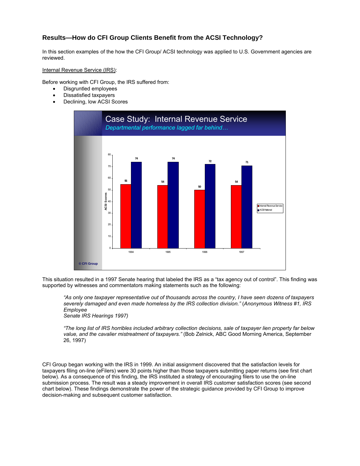# **Results—How do CFI Group Clients Benefit from the ACSI Technology?**

In this section examples of the how the CFI Group/ ACSI technology was applied to U.S. Government agencies are reviewed.

Internal Revenue Service (IRS):

Before working with CFI Group, the IRS suffered from:

- Disgruntled employees
- Dissatisfied taxpayers
- Declining, low ACSI Scores



This situation resulted in a 1997 Senate hearing that labeled the IRS as a "tax agency out of control". This finding was supported by witnesses and commentators making statements such as the following:

*"As only one taxpayer representative out of thousands across the country, I have seen dozens of taxpayers severely damaged and even made homeless by the IRS collection division."* (*Anonymous Witness #1, IRS Employee* 

*Senate IRS Hearings 1997)*

*"The long list of IRS horribles included arbitrary collection decisions, sale of taxpayer lien property far below value, and the cavalier mistreatment of taxpayers."* (Bob Zelnick, ABC Good Morning America, September 26, 1997)

CFI Group began working with the IRS in 1999. An initial assignment discovered that the satisfaction levels for taxpayers filing on-line (eFilers) were 30 points higher than those taxpayers submitting paper returns (see first chart below). As a consequence of this finding, the IRS instituted a strategy of encouraging filers to use the on-line submission process. The result was a steady improvement in overall IRS customer satisfaction scores (see second chart below). These findings demonstrate the power of the strategic guidance provided by CFI Group to improve decision-making and subsequent customer satisfaction.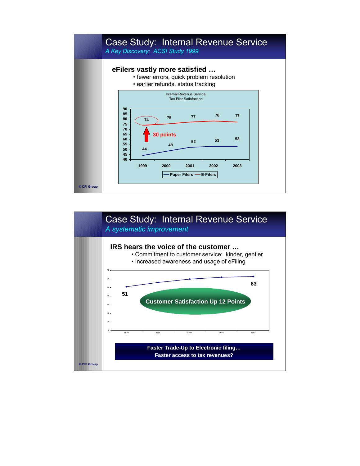

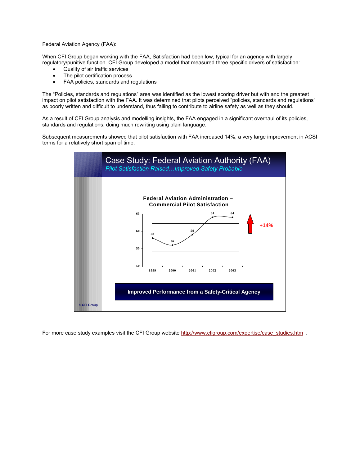#### Federal Aviation Agency (FAA):

When CFI Group began working with the FAA, Satisfaction had been low, typical for an agency with largely regulatory/punitive function. CFI Group developed a model that measured three specific drivers of satisfaction:

- Quality of air traffic services
- The pilot certification process
- FAA policies, standards and regulations

The "Policies, standards and regulations" area was identified as the lowest scoring driver but with and the greatest impact on pilot satisfaction with the FAA. It was determined that pilots perceived "policies, standards and regulations" as poorly written and difficult to understand, thus failing to contribute to airline safety as well as they should.

As a result of CFI Group analysis and modelling insights, the FAA engaged in a significant overhaul of its policies, standards and regulations, doing much rewriting using plain language.

Subsequent measurements showed that pilot satisfaction with FAA increased 14%, a very large improvement in ACSI terms for a relatively short span of time.



For more case study examples visit the CFI Group website http://www.cfigroup.com/expertise/case\_studies.htm .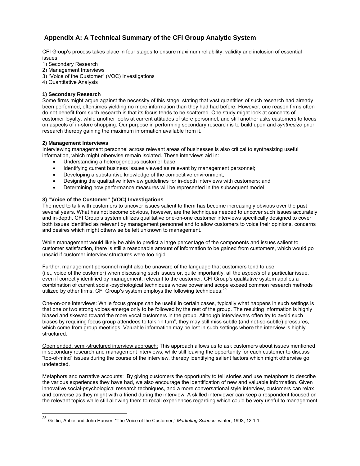# **Appendix A: A Technical Summary of the CFI Group Analytic System**

CFI Group's process takes place in four stages to ensure maximum reliability, validity and inclusion of essential issues:

- 1) Secondary Research
- 2) Management Interviews
- 3) "Voice of the Customer" (VOC) Investigations
- 4) Quantitative Analysis

#### **1) Secondary Research**

Some firms might argue against the necessity of this stage, stating that vast quantities of such research had already been performed, oftentimes yielding no more information than they had had before. However, one reason firms often do not benefit from such research is that its focus tends to be scattered. One study might look at concepts of customer loyalty, while another looks at current attitudes of store personnel, and still another asks customers to focus on aspects of in-store shopping. Our purpose in performing secondary research is to build upon and *synthesize* prior research thereby gaining the maximum information available from it.

#### **2) Management Interviews**

 $\overline{a}$ 

Interviewing management personnel across relevant areas of businesses is also critical to synthesizing useful information, which might otherwise remain isolated. These interviews aid in:

- Understanding a heterogeneous customer base;
- Identifying current business issues viewed as relevant by management personnel;
- Developing a substantive knowledge of the competitive environment;
- Designing the qualitative interview guidelines for in-depth interviews with customers; and
- Determining how performance measures will be represented in the subsequent model

#### **3) "Voice of the Customer" (VOC) Investigations**

The need to talk with customers to uncover issues salient to them has become increasingly obvious over the past several years. What has not become obvious, however, are the techniques needed to uncover such issues accurately and in-depth. CFI Group's system utilizes qualitative one-on-one customer interviews specifically designed to cover both issues identified as relevant by management personnel and to allow customers to voice their opinions, concerns and desires which might otherwise be left unknown to management.

While management would likely be able to predict a large percentage of the components and issues salient to customer satisfaction, there is still a reasonable amount of information to be gained from customers, which would go unsaid if customer interview structures were too rigid.

Further, management personnel might also be unaware of the language that customers tend to use (i.e., voice of the customer) when discussing such issues or, quite importantly, all the *aspects* of a particular issue, even if correctly identified by management, relevant to the customer. CFI Group's qualitative system applies a combination of current social-psychological techniques whose power and scope exceed common research methods utilized by other firms. CFI Group's system employs the following techniques:<sup>25</sup>

One-on-one interviews: While focus groups can be useful in certain cases, typically what happens in such settings is that one or two strong voices emerge only to be followed by the rest of the group. The resulting information is highly biased and skewed toward the more vocal customers in the group. Although interviewers often try to avoid such biases by requiring focus group attendees to talk "in turn", they may still miss subtle (and not-so-subtle) pressures, which come from group meetings. Valuable information may be lost in such settings where the interview is highly structured.

Open ended, semi-structured interview approach: This approach allows us to ask customers about issues mentioned in secondary research and management interviews, while still leaving the opportunity for each customer to discuss "top-of-mind" issues during the course of the interview, thereby identifying salient factors which might otherwise go undetected.

Metaphors and narrative accounts: By giving customers the opportunity to tell stories and use metaphors to describe the various experiences they have had, we also encourage the identification of new and valuable information. Given innovative social-psychological research techniques, and a more conversational style interview, customers can relax and converse as they might with a friend during the interview. A skilled interviewer can keep a respondent focused on the relevant topics while still allowing them to recall experiences regarding which could be very useful to management

<sup>25</sup> Griffin, Abbie and John Hauser, "The Voice of the Customer," *Marketing Science*, winter, 1993, 12,1,1.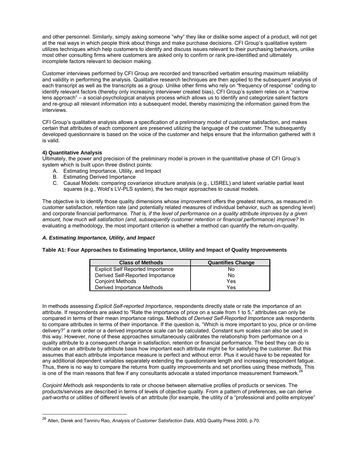and other personnel. Similarly, simply asking someone "why" they like or dislike some aspect of a product, will not get at the real ways in which people think about things and make purchase decisions. CFI Group's qualitative system utilizes techniques which help customers to identify and discuss issues relevant to their purchasing behaviors, unlike most other consulting firms where customers are asked only to confirm or rank pre-identified and ultimately incomplete factors relevant to decision making.

Customer interviews performed by CFI Group are recorded and transcribed verbatim ensuring maximum reliability and validity in performing the analysis. Qualitative research techniques are then applied to the subsequent analysis of each transcript as well as the transcripts as a group. Unlike other firms who rely on "frequency of response" coding to identify relevant factors (thereby only increasing interviewer created bias), CFI Group's system relies on a "narrow lens approach" – a social-psychological analysis process which allows us to identify and categorize salient factors and re-group all relevant information into a subsequent model, thereby maximizing the information gained from the interviews.

CFI Group's qualitative analysis allows a specification of a preliminary model of customer satisfaction, and makes certain that attributes of each component are preserved utilizing the language of the customer. The subsequently developed questionnaire is based on the voice of the customer and helps ensure that the information gathered with it is valid.

#### **4) Quantitative Analysis**

Ultimately, the power and precision of the preliminary model is proven in the quantitative phase of CFI Group's system which is built upon three distinct points:

- A. Estimating Importance, Utility, and Impact
- B. Estimating Derived Importance
- C. Causal Models: comparing covariance structure analysis (e.g., LISREL) and latent variable partial least squares (e.g., Wold's LV-PLS system), the two major approaches to causal models.

The objective is to identify those quality dimensions whose improvement offers the greatest returns, as measured in customer satisfaction, retention rate (and potentially related measures of individual behavior, such as spending level) and corporate financial performance. *That is, if the level of performance on a quality attribute improves by a given amount, how much will satisfaction (and, subsequently customer retention or financial performance) improve?* In evaluating a methodology, the most important criterion is whether a method can quantify the return-on-quality.

#### *A. Estimating Importance, Utility, and Impact*

#### **Table A1: Four Approaches to Estimating Importance, Utility and Impact of Quality Improvements**

| <b>Class of Methods</b>                  | <b>Quantifies Change</b> |
|------------------------------------------|--------------------------|
| <b>Explicit Self Reported Importance</b> | No                       |
| Derived Self-Reported Importance         | No                       |
| <b>Conjoint Methods</b>                  | Yes                      |
| Derived Importance Methods               | Yes                      |

In methods assessing *Explicit Self-reported Importance*, respondents directly state or rate the importance of an attribute. If respondents are asked to "Rate the importance of price on a scale from 1 to 5," attributes can only be compared in terms of their mean importance ratings. Methods of *Derived Self-Reported Importance* ask respondents to compare attributes in terms of their importance. If the question is, "Which is more important to you, price or on-time delivery?" a rank order or a derived importance scale can be calculated. Constant sum scales can also be used in this way. However, none of these approaches simultaneously calibrates the relationship from performance on a quality attribute to a consequent change in satisfaction, retention or financial performance. The best they can do is indicate on an attribute by attribute basis how important each attribute might be for satisfying the customer. But this assumes that each attribute importance measure is perfect and without error. Plus it would have to be repeated for any additional dependent variables separately extending the questionnaire length and increasing respondent fatigue. Thus, there is no way to compare the returns from quality improvements and set priorities using these methods. This is one of the main reasons that few if any consultants advocate a stated importance measurement framework.

*Conjoint Methods* ask respondents to rate or choose between alternative profiles of products or services. The products/services are described in terms of levels of objective quality. From a pattern of preferences, we can derive *part-worths* or *utilities* of different levels of an attribute (for example, the utility of a "professional and polite employee"

 $\overline{a}$ <sup>26</sup> Allen, Derek and Tanniru Rao, *Analysis of Customer Satisfaction Data*, ASQ Quality Press 2000, p.70.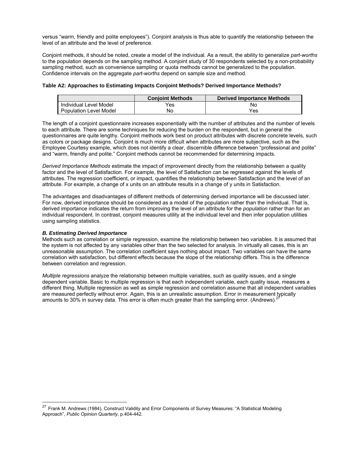versus "warm, friendly and polite employees"). Conjoint analysis is thus able to quantify the relationship between the level of an attribute and the level of preference.

Conjoint methods, it should be noted, create a model of the individual. As a result, the ability to generalize *part-worths*  to the population depends on the sampling method. A conjoint study of 30 respondents selected by a non-probability sampling method, such as convenience sampling or quota methods cannot be generalized to the population. Confidence intervals on the aggregate *part-worths* depend on sample size and method.

#### **Table A2: Approaches to Estimating Impacts Conjoint Methods? Derived Importance Methods?**

|                               | <b>Conioint Methods</b> | <b>Derived Importance Methods</b> |
|-------------------------------|-------------------------|-----------------------------------|
| Individual Level Model        | Yes                     | No                                |
| <b>Population Level Model</b> | No                      | Yes                               |

The length of a conjoint questionnaire increases exponentially with the number of attributes and the number of levels to each attribute. There are some techniques for reducing the burden on the respondent, but in general the questionnaires are quite lengthy. Conjoint methods work best on product attributes with discrete concrete levels, such as colors or package designs. Conjoint is much more difficult when attributes are more subjective, such as the Employee Courtesy example, which does not identify a clear, discernible difference between "professional and polite" and "warm, friendly and polite." Conjoint methods cannot be recommended for determining impacts.

*Derived Importance Methods* estimate the impact of improvement directly from the relationship between a quality factor and the level of Satisfaction. For example, the level of Satisfaction can be regressed against the levels of attributes. The regression coefficient, or impact, quantifies the relationship between Satisfaction and the level of an attribute. For example, a change of x units on an attribute results in a change of y units in Satisfaction.

The advantages and disadvantages of different methods of determining derived importance will be discussed later. For now, derived importance should be considered as a model of the population rather than the individual. That is, derived importance indicates the return from improving the level of an attribute for the *population* rather than for an individual respondent. In contrast, conjoint measures utility at the individual level and then infer population utilities using sampling statistics.

#### *B. Estimating Derived Importance*

 $\overline{a}$ 

Methods such as correlation or simple regression, examine the relationship between two variables. It is assumed that the system is not affected by any variables other than the two selected for analysis. In virtually all cases, this is an unreasonable assumption. The correlation coefficient says nothing about impact. Two variables can have the same correlation with satisfaction, but different effects because the slope of the relationship differs. This is the difference between correlation and regression.

*Multiple regressions* analyze the relationship between multiple variables, such as quality issues, and a single dependent variable. Basic to multiple regression is that each independent variable, each quality issue, measures a different thing. Multiple regression as well as simple regression and correlation assume that all independent variables are measured perfectly without error. Again, this is an unrealistic assumption. Error in measurement typically amounts to 30% in survey data. This error is often much greater than the sampling error. (Andrews).

 $^{27}$  Frank M. Andrews (1984), Construct Validity and Error Components of Survey Measures: "A Statistical Modeling Approach", *Public Opinion Quarterly*, p.404-442.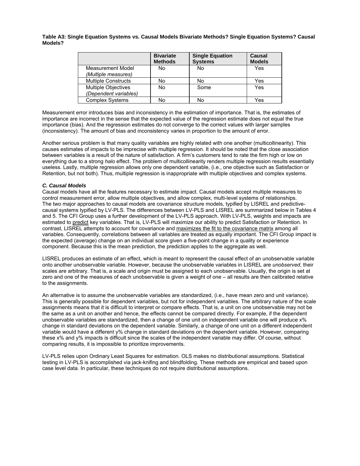**Table A3: Single Equation Systems vs. Causal Models Bivariate Methods? Single Equation Systems? Causal Models?** 

|                                              | <b>Bivariate</b><br><b>Methods</b> | <b>Single Equation</b><br><b>Systems</b> | Causal<br><b>Models</b> |
|----------------------------------------------|------------------------------------|------------------------------------------|-------------------------|
| Measurement Model<br>(Multiple measures)     | No                                 | No                                       | Yes                     |
| <b>Multiple Constructs</b>                   | No                                 | No                                       | Yes                     |
| Multiple Objectives<br>(Dependent variables) | No                                 | Some                                     | Yes                     |
| <b>Complex Systems</b>                       | No                                 | No                                       | Yes                     |

Measurement error introduces bias and inconsistency in the estimation of importance. That is, the estimates of importance are incorrect in the sense that the expected value of the regression estimate does not equal the true importance (bias). And the regression estimates do not converge to the correct values with larger samples (inconsistency). The amount of bias and inconsistency varies in proportion to the amount of error.

Another serious problem is that many quality variables are highly related with one another (multicollinearity). This causes estimates of impacts to be imprecise with multiple regression. It should be noted that the close association between variables is a result of the nature of satisfaction. A firm's customers tend to rate the firm high or low on everything due to a strong *halo* effect. The problem of multicollinearity renders multiple regression results essentially useless. Lastly, multiple regression allows only one dependent variable, (i.e., one objective such as Satisfaction or Retention, but not both). Thus, multiple regression is inappropriate with multiple objectives and complex systems.

#### *C. Causal Models*

Causal models have all the features necessary to estimate impact. Causal models accept multiple measures to control measurement error, allow multiple objectives, and allow complex, multi-level systems of relationships. The two major approaches to causal models are covariance structure models, typified by LISREL and predictivecausal systems typified by LV-PLS. The differences between LV-PLS and LISREL are summarized below in Tables 4 and 5. The CFI Group uses a further development of the LV-PLS approach. With LV-PLS, weights and impacts are estimated to predict key variables. That is, LV-PLS will maximize our ability to predict Satisfaction or Retention. In contrast, LISREL attempts to account for covariance and maximizes the fit to the covariance matrix among all variables. Consequently, correlations between all variables are treated as equally important. The CFI Group impact is the expected (average) change on an individual score given a five-point change in a quality or experience component. Because this is the mean prediction, the prediction applies to the aggregate as well.

LISREL produces an estimate of an effect, which is meant to represent the causal effect of an unobservable variable onto another unobservable variable. However, because the unobservable variables in LISREL are *unobserved*, their scales are arbitrary. That is, a scale and origin must be assigned to each unobservable. Usually, the origin is set at zero and one of the measures of each unobservable is given a weight of one – all results are then calibrated relative to the assignments.

An alternative is to assume the unobservable variables are standardized, (i.e., have mean zero and unit variance). This is generally possible for dependent variables, but not for independent variables. The arbitrary nature of the scale assignments means that it is difficult to interpret or compare effects. That is, a unit on one unobservable may not be the same as a unit on another and hence, the effects cannot be compared directly. For example, if the dependent unobservable variables are standardized, then a change of one unit on independent variable one will produce x% change in standard deviations on the dependent variable. Similarly, a change of one unit on a different independent variable would have a different y% change in standard deviations on the dependent variable. However, comparing these x% and y% impacts is difficult since the scales of the independent variable may differ. Of course, without comparing results, it is impossible to prioritize improvements.

LV-PLS relies upon Ordinary Least Squares for estimation. OLS makes no distributional assumptions. Statistical testing in LV-PLS is accomplished via jack-knifing and blindfolding. These methods are empirical and based upon case level data. In particular, these techniques do not require distributional assumptions.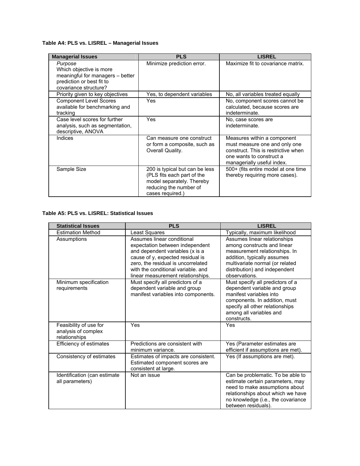# **Table A4: PLS vs. LISREL – Managerial Issues**

| <b>Managerial Issues</b>                                                                                                     | <b>PLS</b>                                                                                                                              | <b>LISREL</b>                                                                                                                                                 |
|------------------------------------------------------------------------------------------------------------------------------|-----------------------------------------------------------------------------------------------------------------------------------------|---------------------------------------------------------------------------------------------------------------------------------------------------------------|
| Purpose<br>Which objective is more<br>meaningful for managers - better<br>prediction or best fit to<br>covariance structure? | Minimize prediction error.                                                                                                              | Maximize fit to covariance matrix.                                                                                                                            |
| Priority given to key objectives                                                                                             | Yes, to dependent variables                                                                                                             | No, all variables treated equally                                                                                                                             |
| <b>Component Level Scores</b><br>available for benchmarking and<br>tracking                                                  | Yes                                                                                                                                     | No, component scores cannot be.<br>calculated, because scores are<br>indeterminate.                                                                           |
| Case level scores for further<br>analysis, such as segmentation,<br>descriptive, ANOVA                                       | Yes                                                                                                                                     | No, case scores are<br>indeterminate.                                                                                                                         |
| Indices                                                                                                                      | Can measure one construct<br>or form a composite, such as<br>Overall Quality.                                                           | Measures within a component<br>must measure one and only one<br>construct. This is restrictive when<br>one wants to construct a<br>managerially useful index. |
| Sample Size                                                                                                                  | 200 is typical but can be less<br>(PLS fits each part of the<br>model separately. Thereby<br>reducing the number of<br>cases required.) | 500+ (fits entire model at one time<br>thereby requiring more cases).                                                                                         |

## **Table A5: PLS vs. LISREL: Statistical Issues**

| <b>Statistical Issues</b>                                      | <b>PLS</b>                                                                                                                                                                                                                                            | <b>LISREL</b>                                                                                                                                                                                                    |
|----------------------------------------------------------------|-------------------------------------------------------------------------------------------------------------------------------------------------------------------------------------------------------------------------------------------------------|------------------------------------------------------------------------------------------------------------------------------------------------------------------------------------------------------------------|
| <b>Estimation Method</b>                                       | Least Squares                                                                                                                                                                                                                                         | Typically, maximum likelihood                                                                                                                                                                                    |
| Assumptions                                                    | Assumes linear conditional<br>expectation between independent<br>and dependent variables (x is a<br>cause of y, expected residual is<br>zero, the residual is uncorrelated<br>with the conditional variable, and<br>linear measurement relationships. | Assumes linear relationships<br>among constructs and linear<br>measurement relationships. In<br>addition, typically assumes<br>multivariate normal (or related<br>distribution) and independent<br>observations. |
| Minimum specification<br>requirements                          | Must specify all predictors of a<br>dependent variable and group<br>manifest variables into components.                                                                                                                                               | Must specify all predictors of a<br>dependent variable and group<br>manifest variables into<br>components. In addition, must<br>specify all other relationships<br>among all variables and<br>constructs.        |
| Feasibility of use for<br>analysis of complex<br>relationships | Yes                                                                                                                                                                                                                                                   | Yes                                                                                                                                                                                                              |
| Efficiency of estimates                                        | Predictions are consistent with<br>minimum variance.                                                                                                                                                                                                  | Yes (Parameter estimates are<br>efficient if assumptions are met).                                                                                                                                               |
| Consistency of estimates                                       | Estimates of impacts are consistent.<br>Estimated component scores are<br>consistent at large.                                                                                                                                                        | Yes (If assumptions are met).                                                                                                                                                                                    |
| Identification (can estimate<br>all parameters)                | Not an issue                                                                                                                                                                                                                                          | Can be problematic. To be able to<br>estimate certain parameters, may<br>need to make assumptions about<br>relationships about which we have<br>no knowledge (i.e., the covariance<br>between residuals).        |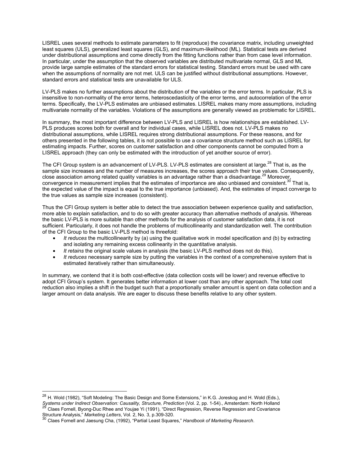LISREL uses several methods to estimate parameters to fit (reproduce) the covariance matrix, including unweighted least squares (ULS), generalized least squares (GLS), and maximum-likelihood (ML). Statistical tests are derived under distributional assumptions and come directly from the fitting functions rather than from case level information. In particular, under the assumption that the observed variables are distributed multivariate normal, GLS and ML provide large sample estimates of the standard errors for statistical testing. Standard errors must be used with care when the assumptions of normality are not met. ULS can be justified without distributional assumptions. However, standard errors and statistical tests are unavailable for ULS.

LV-PLS makes no further assumptions about the distribution of the variables or the error terms. In particular, PLS is insensitive to non-normality of the error terms, heteroscedasticity of the error terms, and autocorrelation of the error terms. Specifically, the LV-PLS estimates are unbiased estimates. LISREL makes many more assumptions, including multivariate normality of the variables. Violations of the assumptions are generally viewed as problematic for LISREL.

In summary, the most important difference between LV-PLS and LISREL is how relationships are established. LV-PLS produces scores both for overall and for individual cases, while LISREL does not. LV-PLS makes no distributional assumptions, while LISREL requires strong distributional assumptions. For these reasons, and for others presented in the following tables, it is not possible to use a covariance structure method such as LISREL for estimating impacts. Further, scores on customer satisfaction and other components cannot be computed from a LISREL approach (they can only be estimated with the introduction of yet another source of error).

The CFI Group system is an advancement of LV-PLS. LV-PLS estimates are consistent at large.<sup>28</sup> That is, as the sample size increases and the number of measures increases, the scores approach their true values. Consequently, close association among related quality variables is an advantage rather than a disadvantage.<sup>29</sup> Moreover, convergence in measurement implies that the estimates of importance are also unbiased and consistent.<sup>30</sup> That is, the expected value of the impact is equal to the true importance (unbiased). And, the estimates of impact converge to the true values as sample size increases (consistent).

Thus the CFI Group system is better able to detect the true association between experience quality and satisfaction, more able to explain satisfaction, and to do so with greater accuracy than alternative methods of analysis. Whereas the basic LV-PLS is more suitable than other methods for the analysis of customer satisfaction data, it is not sufficient. Particularly, it does not handle the problems of multicollinearity and standardization well. The contribution of the CFI Group to the basic LV-PLS method is threefold:

- *It reduces* the multicollinearity by (a) using the qualitative work in model specification and (b) by extracting and isolating any remaining excess collinearity in the quantitative analysis.
- *It retains* the original scale values in analysis (the basic LV-PLS method does not do this).
- *It reduces* necessary sample size by putting the variables in the context of a comprehensive system that is estimated iteratively rather than simultaneously.

In summary, we contend that it is both cost-effective (data collection costs will be lower) and revenue effective to adopt CFI Group's system. It generates better information at lower cost than any other approach. The total cost reduction also implies a shift in the budget such that a proportionally smaller amount is spent on data collection and a larger amount on data analysis. We are eager to discuss these benefits relative to any other system.

 $\overline{a}$ 

 $^{28}$  H. Wold (1982), "Soft Modeling: The Basic Design and Some Extensions," in K.G. Joreskog and H. Wold (Eds.), Systems under Indirect Observation: Causality, Structure, Prediction (Vol. 2, pp. 1-54)., Amsterdam: North Holland<br><sup>29</sup> Claes Fornell, Byong-Duc Rhee and Youjae Yi (1991), "Direct Regression, Reverse Regression and Covaria

Structure Analysis," *Marketing Letters*, Vol. 2, No. 3, p.309-320. <sup>30</sup> Claes Fornell and Jaesung Cha, (1992), "Partial Least Squares," *Handbook of Marketing Research*.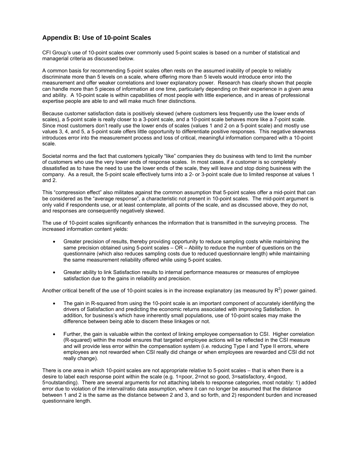# **Appendix B: Use of 10-point Scales**

CFI Group's use of 10-point scales over commonly used 5-point scales is based on a number of statistical and managerial criteria as discussed below.

A common basis for recommending 5-point scales often rests on the assumed inability of people to reliably discriminate more than 5 levels on a scale, where offering more than 5 levels would introduce error into the measurement and offer weaker correlations and lower explanatory power. Research has clearly shown that people can handle more than 5 pieces of information at one time, particularly depending on their experience in a given area and ability. A 10-point scale is within capabilities of most people with little experience, and in areas of professional expertise people are able to and will make much finer distinctions.

Because customer satisfaction data is positively skewed (where customers less frequently use the lower ends of scales), a 5-point scale is really closer to a 3-point scale, and a 10-point scale behaves more like a 7-point scale. Since most customers don't really use the lower ends of scales (values 1 and 2 on a 5-point scale) and mostly use values 3, 4, and 5, a 5-point scale offers little opportunity to differentiate positive responses. This negative skewness introduces error into the measurement process and loss of critical, meaningful information compared with a 10-point scale.

Societal norms and the fact that customers typically "like" companies they do business with tend to limit the number of customers who use the very lower ends of response scales. In most cases, if a customer is so completely dissatisfied as to have the need to use the lower ends of the scale, they will leave and stop doing business with the company. As a result, the 5-point scale effectively turns into a 2- or 3-point scale due to limited response at values 1 and 2.

This "compression effect" also militates against the common assumption that 5-point scales offer a mid-point that can be considered as the "average response", a characteristic not present in 10-point scales. The mid-point argument is only valid if respondents use, or at least contemplate, all points of the scale, and as discussed above, they do not, and responses are consequently negatively skewed.

The use of 10-point scales significantly enhances the information that is transmitted in the surveying process. The increased information content yields:

- Greater precision of results, thereby providing opportunity to reduce sampling costs while maintaining the same precision obtained using 5-point scales – OR – Ability to reduce the number of questions on the questionnaire (which also reduces sampling costs due to reduced questionnaire length) while maintaining the same measurement reliability offered while using 5-point scales.
- Greater ability to link Satisfaction results to internal performance measures or measures of employee satisfaction due to the gains in reliability and precision.

Another critical benefit of the use of 10-point scales is in the increase explanatory (as measured by  $R^2$ ) power gained.

- The gain in R-squared from using the 10-point scale is an important component of accurately identifying the drivers of Satisfaction and predicting the economic returns associated with improving Satisfaction. In addition, for business's which have inherently small populations, use of 10-point scales may make the difference between being able to discern these linkages or not.
- Further, the gain is valuable within the context of linking employee compensation to CSI. Higher correlation (R-squared) within the model ensures that targeted employee actions will be reflected in the CSI measure and will provide less error within the compensation system (i.e. reducing Type I and Type II errors, where employees are not rewarded when CSI really did change or when employees are rewarded and CSI did not really change).

There is one area in which 10-point scales are not appropriate relative to 5-point scales – that is when there is a desire to label each response point within the scale (e.g. 1=poor, 2=not so good, 3=satisfactory, 4=good, 5=outstanding). There are several arguments for not attaching labels to response categories, most notably: 1) added error due to violation of the interval/ratio data assumption, where it can no longer be assumed that the distance between 1 and 2 is the same as the distance between 2 and 3, and so forth, and 2) respondent burden and increased questionnaire length.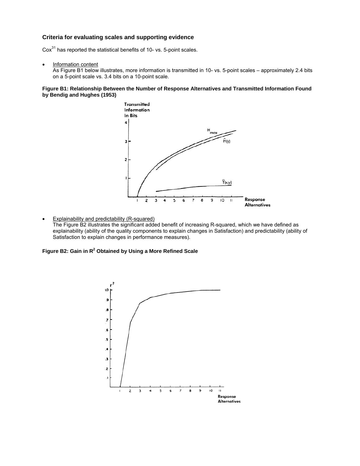## **Criteria for evaluating scales and supporting evidence**

 $\text{Cox}^{31}$  has reported the statistical benefits of 10- vs. 5-point scales.

Information content

As Figure B1 below illustrates, more information is transmitted in 10- vs. 5-point scales – approximately 2.4 bits on a 5-point scale vs. 3.4 bits on a 10-point scale.

#### **Figure B1: Relationship Between the Number of Response Alternatives and Transmitted Information Found by Bendig and Hughes (1953)**



• Explainability and predictability (R-squared) The Figure B2 illustrates the significant added benefit of increasing R-squared, which we have defined as explainability (ability of the quality components to explain changes in Satisfaction) and predictability (ability of Satisfaction to explain changes in performance measures).

Figure B2: Gain in R<sup>2</sup> Obtained by Using a More Refined Scale

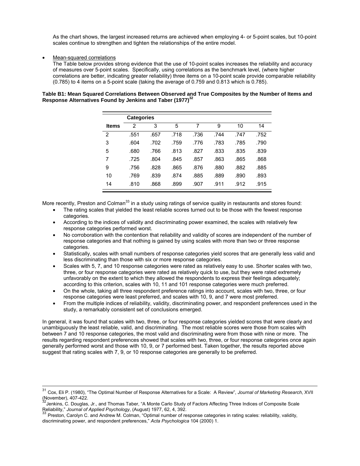As the chart shows, the largest increased returns are achieved when employing 4- or 5-point scales, but 10-point scales continue to strengthen and tighten the relationships of the entire model.

#### • Mean-squared correlations

 $\overline{a}$ 

The Table below provides strong evidence that the use of 10-point scales increases the reliability and accuracy of measures over 5-point scales. Specifically, using correlations as the benchmark level, (where higher correlations are better, indicating greater reliability) three items on a 10-point scale provide comparable reliability (0.785) to 4 items on a 5-point scale (taking the average of 0.759 and 0.813 which is 0.785).

**Table B1: Mean Squared Correlations Between Observed and True Composites by the Number of Items and Response Alternatives Found by Jenkins and Taber (1977)<sup>32</sup>**

|              | <b>Categories</b> |      |      |      |      |      |      |
|--------------|-------------------|------|------|------|------|------|------|
| <b>Items</b> | 2                 | 3    | 5    | 7    | 9    | 10   | 14   |
| 2            | .551              | .657 | .718 | .736 | .744 | .747 | .752 |
| 3            | .604              | .702 | .759 | .776 | .783 | .785 | .790 |
| 5            | .680              | .766 | .813 | .827 | .833 | .835 | .839 |
| 7            | .725              | .804 | .845 | .857 | .863 | .865 | .868 |
| 9            | .756              | .828 | .865 | .876 | .880 | .882 | .885 |
| 10           | .769              | .839 | .874 | .885 | .889 | .890 | .893 |
| 14           | .810              | .868 | .899 | .907 | .911 | .912 | .915 |

More recently, Preston and Colman<sup>33</sup> in a study using ratings of service quality in restaurants and stores found:

- The rating scales that yielded the least reliable scores turned out to be those with the fewest response categories.
- According to the indices of validity and discriminating power examined, the scales with relatively few response categories performed worst.
- No corroboration with the contention that reliability and validity of scores are independent of the number of response categories and that nothing is gained by using scales with more than two or three response categories.
- Statistically, scales with small numbers of response categories yield scores that are generally less valid and less discriminating than those with six or more response categories.
- Scales with 5, 7, and 10 response categories were rated as relatively easy to use. Shorter scales with two, three, or four response categories were rated as relatively quick to use, but they were rated extremely unfavorably on the extent to which they allowed the respondents to express their feelings adequately; according to this criterion, scales with 10, 11 and 101 response categories were much preferred.
- On the whole, taking all three respondent preference ratings into account, scales with two, three, or four response categories were least preferred, and scales with 10, 9, and 7 were most preferred.
- From the multiple indices of reliability, validity, discriminating power, and respondent preferences used in the study, a remarkably consistent set of conclusions emerged.

In general, it was found that scales with two, three, or four response categories yielded scores that were clearly and unambiguously the least reliable, valid, and discriminating. The most reliable scores were those from scales with between 7 and 10 response categories, the most valid and discriminating were from those with nine or more. The results regarding respondent preferences showed that scales with two, three, or four response categories once again generally performed worst and those with 10, 9, or 7 performed best. Taken together, the results reported above suggest that rating scales with 7, 9, or 10 response categories are generally to be preferred.

<sup>31</sup> Cox, Eli P. (1980), "The Optimal Number of Response Alternatives for a Scale: A Review", *Journal of Marketing Research*, XVII

<sup>(</sup>November), 407-422.<br><sup>32</sup>Jenkins, C. Douglas, Jr., and Thomas Taber, "A Monte Carlo Study of Factors Affecting Three Indices of Composite Scale Reliability," *Journal of Applied Psychology*, (August) 1977, 62, 4, 392. 33<br><sup>33</sup> Preston, Carolyn C. and Andrew M. Colman, "Optimal number of response categories in rating scales: reliability, validity,

discriminating power, and respondent preferences," *Acta Psychologica* 104 (2000) 1.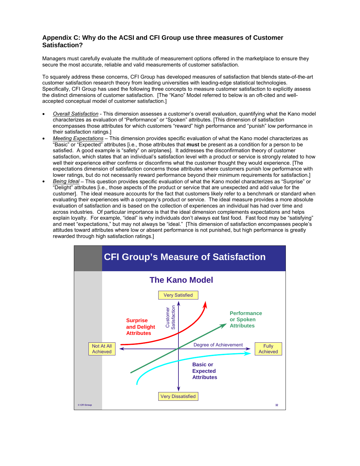## **Appendix C: Why do the ACSI and CFI Group use three measures of Customer Satisfaction?**

Managers must carefully evaluate the multitude of measurement options offered in the marketplace to ensure they secure the most accurate, reliable and valid measurements of customer satisfaction.

To squarely address these concerns, CFI Group has developed measures of satisfaction that blends state-of-the-art customer satisfaction research theory from leading universities with leading-edge statistical technologies. Specifically, CFI Group has used the following three concepts to measure customer satisfaction to explicitly assess the distinct dimensions of customer satisfaction. [The "Kano" Model referred to below is an oft-cited and wellaccepted conceptual model of customer satisfaction.]

- *Overall Satisfaction* This dimension assesses a customer's overall evaluation, quantifying what the Kano model characterizes as evaluation of "Performance" or "Spoken" attributes. [This dimension of satisfaction encompasses those attributes for which customers "reward" high performance and "punish" low performance in their satisfaction ratings.]
- *Meeting Expectations* This dimension provides specific evaluation of what the Kano model characterizes as "Basic" or "Expected" attributes [i.e., those attributes that **must** be present as a condition for a person to be satisfied. A good example is "safety" on airplanes]. It addresses the disconfirmation theory of customer satisfaction, which states that an individual's satisfaction level with a product or service is strongly related to how well their experience either confirms or disconfirms what the customer thought they would experience. [The expectations dimension of satisfaction concerns those attributes where customers punish low performance with lower ratings, but do not necessarily reward performance beyond their minimum requirements for satisfaction.]
- *Being Ideal* This question provides specific evaluation of what the Kano model characterizes as "Surprise" or "Delight" attributes [i.e., those aspects of the product or service that are unexpected and add value for the customer]. The ideal measure accounts for the fact that customers likely refer to a benchmark or standard when evaluating their experiences with a company's product or service. The ideal measure provides a more absolute evaluation of satisfaction and is based on the collection of experiences an individual has had over time and across industries. Of particular importance is that the ideal dimension complements expectations and helps explain loyalty. For example, "ideal" is why individuals don't always eat fast food. Fast food may be "satisfying" and meet "expectations," but may not always be "ideal." [This dimension of satisfaction encompasses people's attitudes toward attributes where low or absent performance is not punished, but high performance is greatly rewarded through high satisfaction ratings.]

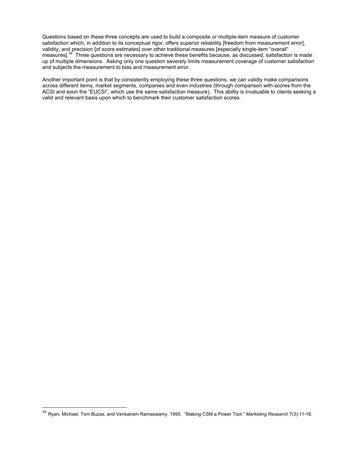Questions based on these three concepts are used to build a composite or multiple-item measure of customer satisfaction which, in addition to its conceptual rigor, offers superior reliability [freedom from measurement error], validity, and precision [of score estimates] over other traditional measures [especially single-item "overall" measures].34 Three questions are necessary to achieve these benefits because, as discussed, satisfaction is made up of multiple dimensions. Asking only one question severely limits measurement coverage of customer satisfaction and subjects the measurement to bias and measurement error.

Another important point is that by consistently employing these three questions, we can validly make comparisons across different items, market segments, companies and even industries (through comparison with scores from the ACSI and soon the "EUCSI", which use the same satisfaction measure). This ability is invaluable to clients seeking a valid and relevant basis upon which to benchmark their customer satisfaction scores.

 $\overline{a}$ 

<sup>34</sup> Ryan, Michael, Tom Buzas, and Venkatram Ramaswamy. 1995. "Making CSM a Power Tool." *Marketing Research* 7(3):11-16.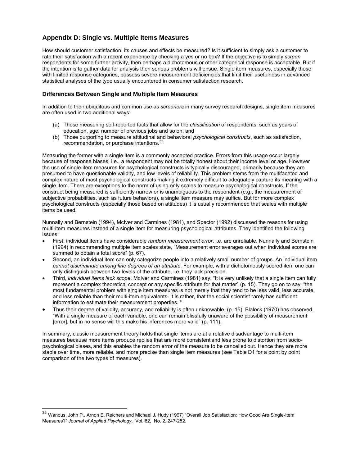## **Appendix D: Single vs. Multiple Items Measures**

How should customer satisfaction, its causes and effects be measured? Is it sufficient to simply ask a customer to rate their satisfaction with a recent experience by checking a yes or no box? If the objective is to simply *screen* respondents for some further activity, then perhaps a dichotomous or other categorical response is acceptable. But if the intention is to gather data for analysis then serious problems will ensue. Single item measures, especially those with limited response categories, possess severe measurement deficiencies that limit their usefulness in advanced statistical analyses of the type usually encountered in consumer satisfaction research.

#### **Differences Between Single and Multiple Item Measures**

In addition to their ubiquitous and common use as *screeners* in many survey research designs, single item measures are often used in two additional ways:

- (a) Those measuring self-reported facts that allow for the *classification* of respondents, such as years of education, age, number of previous jobs and so on; and
- (b) Those purporting to measure attitudinal and behavioral *psychological constructs*, such as satisfaction, recommendation, or purchase intentions.<sup>3</sup>

Measuring the former with a single item is a commonly accepted practice. Errors from this usage occur largely because of response biases, i.e., a respondent may not be totally honest about their income level or age. However the use of single-item measures for psychological constructs is typically discouraged, primarily because they are presumed to have questionable validity, and low levels of reliability. This problem stems from the multifaceted and complex nature of most psychological constructs making it extremely difficult to adequately capture its meaning with a single item. There are exceptions to the norm of using only scales to measure psychological constructs. If the construct being measured is sufficiently narrow or is unambiguous to the respondent (e.g., the measurement of subjective probabilities, such as future behaviors), a single item measure may suffice. But for more complex psychological constructs (especially those based on attitudes) it is usually recommended that scales with multiple items be used.

Nunnally and Bernstein (1994), McIver and Carmines (1981), and Spector (1992) discussed the reasons for using multi-item measures instead of a single item for measuring psychological attributes. They identified the following issues:

- First, individual items have considerable *random measurement error*, i.e. are unreliable. Nunnally and Bernstein (1994) in recommending multiple item scales state, "Measurement error averages out when individual scores are summed to obtain a total score" (p. 67).
- Second, an individual item can only categorize people into a relatively small number of groups. An individual item *cannot discriminate among fine degrees of an attribute*. For example, with a dichotomously scored item one can only distinguish between two levels of the attribute, i.e. they lack precision.
- Third, *individual items lack scope*. McIver and Carmines (1981) say, "It is very unlikely that a single item can fully represent a complex theoretical concept or any specific attribute for that matter" (p. 15). They go on to say; "the most fundamental problem with single item measures is not merely that they tend to be less valid, less accurate, and less reliable than their multi-item equivalents. It is rather, that the social scientist rarely has sufficient information to estimate their measurement properties. "
- Thus their degree of validity, accuracy, and reliability is often unknowable. (p. 15). Blalock (1970) has observed, "With a single measure of each variable, one can remain blissfully unaware of the possibility of measurement [error], but in no sense will this make his inferences more valid" (p. 111).

In summary, classic measurement theory holds that single items are at a relative disadvantage to multi-item measures because more items produce replies that are more consistent and less prone to distortion from sociopsychological biases, and this enables the random error of the measure to be cancelled out. Hence they are more stable over time, more reliable, and more precise than single item measures (see Table D1 for a point by point comparison of the two types of measures).

 $\overline{a}$ 

<sup>&</sup>lt;sup>35</sup> Wanous, John P., Arnon E. Reichers and Michael J. Hudy (1997) "Overall Job Satisfaction: How Good Are Single-Item Measures?" *Journal of Applied Psychology*, Vol. 82, No. 2, 247-252.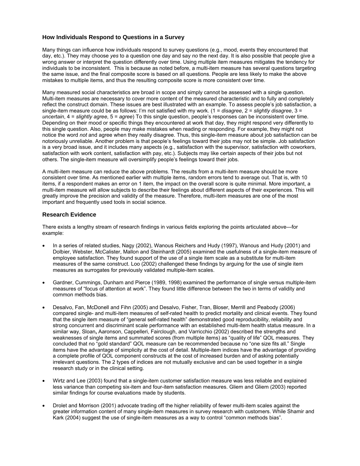### **How Individuals Respond to Questions in a Survey**

Many things can influence how individuals respond to survey questions (e.g., mood, events they encountered that day, etc.). They may choose *yes* to a question one day and say *no* the next day. It is also possible that people give a wrong answer or interpret the question differently over time. Using multiple item measures mitigates the tendency for individuals to be inconsistent. This is because as noted before, a multi-item measure has several questions targeting the same issue, and the final composite score is based on all questions. People are less likely to make the above mistakes to multiple items, and thus the resulting composite score is more consistent over time.

Many measured social characteristics are broad in scope and simply cannot be assessed with a single question. Multi-item measures are necessary to cover more content of the measured characteristic and to fully and completely reflect the construct domain. These issues are best illustrated with an example. To assess people's job satisfaction, a single-item measure could be as follows: I'm not satisfied with my work. (1 = *disagree*, 2 = *slightly disagree*, 3 = *uncertain*, 4 = *slightly agree*, 5 = *agree*) To this single question, people's responses can be inconsistent over time. Depending on their mood or specific things they encountered at work that day, they might respond very differently to this single question. Also, people may make mistakes when reading or responding. For example, they might not notice the word *not* and agree when they really disagree. Thus, this single-item measure about job satisfaction can be notoriously unreliable. Another problem is that people's feelings toward their jobs may not be simple. Job satisfaction is a very broad issue, and it includes many aspects (e.g., satisfaction with the supervisor, satisfaction with coworkers, satisfaction with work content, satisfaction with pay, etc.). Subjects may like certain aspects of their jobs but not others. The single-item measure will oversimplify people's feelings toward their jobs.

A multi-item measure can reduce the above problems. The results from a multi-item measure should be more consistent over time. As mentioned earlier with multiple items, random errors tend to average out. That is, with 10 items, if a respondent makes an error on 1 item, the impact on the overall score is quite minimal. More important, a multi-item measure will allow subjects to describe their feelings about different aspects of their experiences. This will greatly improve the precision and validity of the measure. Therefore, multi-item measures are one of the most important and frequently used tools in social science.

#### **Research Evidence**

There exists a lengthy stream of research findings in various fields exploring the points articulated above—for example:

- In a series of related studies, Nagy (2002), Wanous Reichers and Hudy (1997), Wanous and Hudy (2001) and Dolbier, Webster, McCalister, Mallon and Steinhardt (2005) examined the usefulness of a single-item measure of employee satisfaction. They found support of the use of a single item scale as a substitute for multi-item measures of the same construct. Loo (2002) challenged these findings by arguing for the use of single item measures as surrogates for previously validated multiple-item scales.
- Gardner, Cummings, Dunham and Pierce (1989, 1998) examined the performance of single versus multiple-item measures of "focus of attention at work". They found little difference between the two in terms of validity and common methods bias.
- Desalvo, Fan, McDonell and Fihn (2005) and Desalvo, Fisher, Tran, Bloser, Merrill and Peabody (2006) compared single- and multi-item measures of self-rated health to predict mortality and clinical events. They found that the single item measure of "general self-rated health" demonstrated good reproducibility, reliability and strong concurrent and discriminant scale performance with an established multi-item health status measure. In a similar way, Sloan**,** Aaronson, Cappelleri, Fairclough, and Varricchio (2002) described the strengths and weaknesses of single items and summated scores (from multiple items) as "quality of life" QOL measures. They concluded that no "gold standard" QOL measure can be recommended because no "one size fits all." Single items have the advantage of simplicity at the cost of detail. Multiple-item indices have the advantage of providing a complete profile of QOL component constructs at the cost of increased burden and of asking potentially irrelevant questions. The 2 types of indices are not mutually exclusive and can be used together in a single research study or in the clinical setting.
- Wirtz and Lee (2003) found that a single-item customer satisfaction measure was less reliable and explained less variance than competing six-item and four-item satisfaction measures. Gliem and Gliem (2003) reported similar findings for course evaluations made by students.
- Drolet and Morrison (2001) advocate trading off the higher reliability of fewer multi-item scales against the greater information content of many single-item measures in survey research with customers. While Shamir and Kark (2004) suggest the use of single-item measures as a way to control "common methods bias".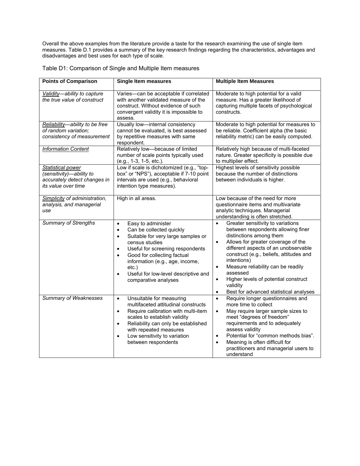Overall the above examples from the literature provide a taste for the research examining the use of single item measures. Table D.1 provides a summary of the key research findings regarding the characteristics, advantages and disadvantages and best uses for each type of scale.

| <b>Points of Comparison</b>                                                                                        | <b>Single Item measures</b>                                                                                                                                                                                                                                                                                                                                            | <b>Multiple Item Measures</b>                                                                                                                                                                                                                                                                                                                                                                                                                               |
|--------------------------------------------------------------------------------------------------------------------|------------------------------------------------------------------------------------------------------------------------------------------------------------------------------------------------------------------------------------------------------------------------------------------------------------------------------------------------------------------------|-------------------------------------------------------------------------------------------------------------------------------------------------------------------------------------------------------------------------------------------------------------------------------------------------------------------------------------------------------------------------------------------------------------------------------------------------------------|
| Validity-ability to capture<br>the true value of construct                                                         | Varies-can be acceptable if correlated<br>with another validated measure of the<br>construct. Without evidence of such<br>convergent validity it is impossible to<br>assess.                                                                                                                                                                                           | Moderate to high potential for a valid<br>measure. Has a greater likelihood of<br>capturing multiple facets of psychological<br>constructs.                                                                                                                                                                                                                                                                                                                 |
| Reliability-ability to be free<br>of random variation;<br>consistency of measurement<br><b>Information Content</b> | Usually low-internal consistency<br>cannot be evaluated, is best assessed<br>by repetitive measures with same<br>respondent.<br>Relatively low-because of limited                                                                                                                                                                                                      | Moderate to high potential for measures to<br>be reliable. Coefficient alpha (the basic<br>reliability metric) can be easily computed.<br>Relatively high because of multi-faceted                                                                                                                                                                                                                                                                          |
|                                                                                                                    | number of scale points typically used<br>(e.g., 1-3, 1-5, etc.).                                                                                                                                                                                                                                                                                                       | nature. Greater specificity is possible due<br>to multiplier effect.                                                                                                                                                                                                                                                                                                                                                                                        |
| Statistical power<br>(sensitivity)-ability to<br>accurately detect changes in<br>its value over time               | Low if scale is dichotomized (e.g., "top-<br>box" or "NPS"), acceptable if 7-10 point<br>intervals are used (e.g., behavioral<br>intention type measures).                                                                                                                                                                                                             | Highest levels of sensitivity possible<br>because the number of distinctions<br>between individuals is higher.                                                                                                                                                                                                                                                                                                                                              |
| Simplicity of administration,<br>analysis, and managerial<br>use                                                   | High in all areas.                                                                                                                                                                                                                                                                                                                                                     | Low because of the need for more<br>questionnaire items and multivariate<br>analytic techniques. Managerial<br>understanding is often stretched.                                                                                                                                                                                                                                                                                                            |
| <b>Summary of Strengths</b>                                                                                        | Easy to administer<br>$\bullet$<br>Can be collected quickly<br>$\bullet$<br>Suitable for very large samples or<br>$\bullet$<br>census studies<br>Useful for screening respondents<br>$\bullet$<br>Good for collecting factual<br>$\bullet$<br>information (e.g., age, income,<br>$etc.$ )<br>Useful for low-level descriptive and<br>$\bullet$<br>comparative analyses | Greater sensitivity to variations<br>$\bullet$<br>between respondents allowing finer<br>distinctions among them<br>Allows for greater coverage of the<br>$\bullet$<br>different aspects of an unobservable<br>construct (e.g., beliefs, attitudes and<br>intentions)<br>Measure reliability can be readily<br>$\bullet$<br>assessed<br>Higher levels of potential construct<br>$\bullet$<br>validity<br>Best for advanced statistical analyses<br>$\bullet$ |
| Summary of Weaknesses                                                                                              | Unsuitable for measuring<br>$\bullet$<br>multifaceted attitudinal constructs<br>Require calibration with multi-item<br>$\bullet$<br>scales to establish validity<br>Reliability can only be established<br>$\bullet$<br>with repeated measures<br>Low sensitivity to variation<br>$\bullet$<br>between respondents                                                     | Require longer questionnaires and<br>$\bullet$<br>more time to collect<br>May require larger sample sizes to<br>$\bullet$<br>meet "degrees of freedom"<br>requirements and to adequately<br>assess validity<br>Potential for "common methods bias".<br>$\bullet$<br>Meaning is often difficult for<br>$\bullet$<br>practitioners and managerial users to<br>understand                                                                                      |

|  | Table D1: Comparison of Single and Multiple Item measures |  |
|--|-----------------------------------------------------------|--|
|  |                                                           |  |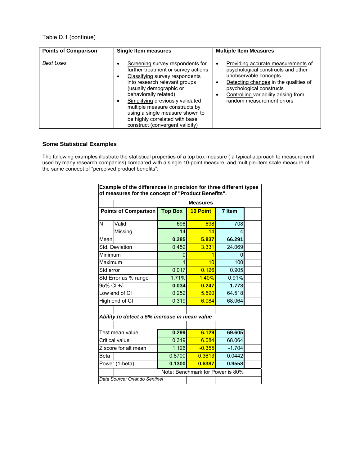## Table D.1 (continue)

| <b>Points of Comparison</b> | <b>Single Item measures</b>                                                                                                                                                                                                                                                                                                                                                  | <b>Multiple Item Measures</b>                                                                                                                                                                                                                    |
|-----------------------------|------------------------------------------------------------------------------------------------------------------------------------------------------------------------------------------------------------------------------------------------------------------------------------------------------------------------------------------------------------------------------|--------------------------------------------------------------------------------------------------------------------------------------------------------------------------------------------------------------------------------------------------|
| <b>Best Uses</b>            | Screening survey respondents for<br>further treatment or survey actions<br>Classifying survey respondents<br>into research relevant groups<br>(usually demographic or<br>behaviorally related)<br>Simplifying previously validated<br>multiple measure constructs by<br>using a single measure shown to<br>be highly correlated with base<br>construct (convergent validity) | Providing accurate measurements of<br>٠<br>psychological constructs and other<br>unobservable concepts<br>Detecting changes in the qualities of<br>psychological constructs<br>Controlling variability arising from<br>random measurement errors |

# **Some Statistical Examples**

The following examples illustrate the statistical properties of a top box measure ( a typical approach to measurement used by many research companies) compared with a single 10-point measure, and multiple-item scale measure of the same concept of "perceived product benefits":

| Example of the differences in precision for three different types<br>of measures for the concept of "Product Benefits". |                               |                                  |                 |                     |  |  |  |  |  |
|-------------------------------------------------------------------------------------------------------------------------|-------------------------------|----------------------------------|-----------------|---------------------|--|--|--|--|--|
|                                                                                                                         |                               |                                  |                 |                     |  |  |  |  |  |
| <b>Points of Comparison</b>                                                                                             |                               | <b>Top Box</b>                   | <b>10 Point</b> | $\overline{7}$ Item |  |  |  |  |  |
| N                                                                                                                       | Valid                         | 698                              | 698             | 708                 |  |  |  |  |  |
|                                                                                                                         | Missing                       | 14                               | 14              | 4                   |  |  |  |  |  |
| Mean                                                                                                                    |                               | 0.285                            | 5.837           | 66.291              |  |  |  |  |  |
| Std. Deviation                                                                                                          |                               | 0.452                            | 3.331           | 24.069              |  |  |  |  |  |
| Minimum                                                                                                                 |                               | 0                                |                 |                     |  |  |  |  |  |
| Maximum                                                                                                                 |                               | 1                                | 10              | 100                 |  |  |  |  |  |
| Std error                                                                                                               |                               | 0.017                            | 0.126           | 0.905               |  |  |  |  |  |
| Std Error as % range                                                                                                    |                               | 1.71%                            | 1.40%           | 0.91%               |  |  |  |  |  |
| 95% CI +/-                                                                                                              |                               | 0.034                            | 0.247           | 1.773               |  |  |  |  |  |
| Low end of CI                                                                                                           |                               | 0.252                            | 5.590           | 64.518              |  |  |  |  |  |
| High end of CI                                                                                                          |                               | 0.319                            | 6.084           | 68.064              |  |  |  |  |  |
| Ability to detect a 5% increase in mean value                                                                           |                               |                                  |                 |                     |  |  |  |  |  |
|                                                                                                                         | Test mean value               | 0.299                            | 6.129           | 69.605              |  |  |  |  |  |
| Critical value                                                                                                          |                               | 0.319                            | 6.084           | 68.064              |  |  |  |  |  |
| Z score for alt mean                                                                                                    |                               | 1.126                            | $-0.355$        | $-1.704$            |  |  |  |  |  |
| Beta                                                                                                                    |                               | 0.8700                           | 0.3613          | 0.0442              |  |  |  |  |  |
| Power (1-beta)                                                                                                          |                               | 0.1300                           | 0.6387          | 0.9558              |  |  |  |  |  |
|                                                                                                                         |                               | Note: Benchmark for Power is 80% |                 |                     |  |  |  |  |  |
|                                                                                                                         | Data Source: Orlando Sentinel |                                  |                 |                     |  |  |  |  |  |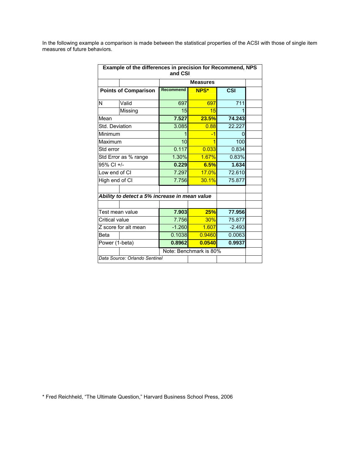In the following example a comparison is made between the statistical properties of the ACSI with those of single item measures of future behaviors.

| Example of the differences in precision for Recommend, NPS<br>and CSI |                               |                        |              |          |  |  |  |  |  |
|-----------------------------------------------------------------------|-------------------------------|------------------------|--------------|----------|--|--|--|--|--|
|                                                                       |                               | <b>Measures</b>        |              |          |  |  |  |  |  |
| <b>Points of Comparison</b>                                           |                               | <b>Recommend</b>       | NPS*         | CSI      |  |  |  |  |  |
| N                                                                     | Valid                         | 697                    | 697          | 711      |  |  |  |  |  |
|                                                                       | Missina                       | 15                     | 15           |          |  |  |  |  |  |
| Mean                                                                  |                               | 7.527                  | 23.5%        | 74.243   |  |  |  |  |  |
| Std. Deviation                                                        |                               | 3.085                  | 0.88         | 22.227   |  |  |  |  |  |
| Minimum                                                               |                               | 1                      | $-1$         | 0        |  |  |  |  |  |
| Maximum                                                               |                               | 10                     |              | 100      |  |  |  |  |  |
| Std error                                                             |                               | 0.117                  | 0.033        | 0.834    |  |  |  |  |  |
| Std Error as % range                                                  |                               | 1.30%                  | 1.67%        | 0.83%    |  |  |  |  |  |
| 95% CI +/-                                                            |                               | 0.229                  | 6.5%         | 1.634    |  |  |  |  |  |
| Low end of CI                                                         |                               | 7.297                  | <b>17.0%</b> | 72.610   |  |  |  |  |  |
| High end of CI                                                        |                               | 7.756                  | 30.1%        | 75.877   |  |  |  |  |  |
|                                                                       |                               |                        |              |          |  |  |  |  |  |
| Ability to detect a 5% increase in mean value                         |                               |                        |              |          |  |  |  |  |  |
|                                                                       |                               |                        |              |          |  |  |  |  |  |
| Test mean value                                                       |                               | 7.903                  | 25%          | 77.956   |  |  |  |  |  |
| Critical value                                                        |                               | 7.756                  | 30%          | 75.877   |  |  |  |  |  |
| Z score for alt mean                                                  |                               | $-1.260$               | 1.607        | $-2.493$ |  |  |  |  |  |
| Beta                                                                  |                               | 0.1038                 | 0.9460       | 0.0063   |  |  |  |  |  |
| Power (1-beta)                                                        |                               | 0.8962                 | 0.0540       | 0.9937   |  |  |  |  |  |
|                                                                       |                               | Note: Benchmark is 80% |              |          |  |  |  |  |  |
|                                                                       | Data Source: Orlando Sentinel |                        |              |          |  |  |  |  |  |

\* Fred Reichheld, "The Ultimate Question," Harvard Business School Press, 2006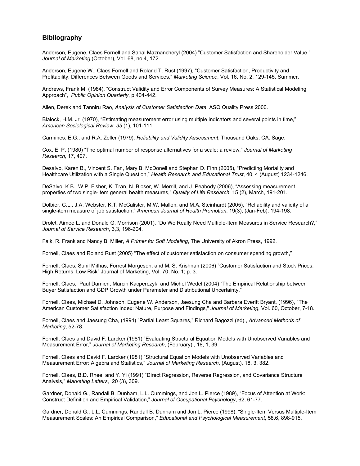## **Bibliography**

Anderson, Eugene, Claes Fornell and Sanal Maznancheryl (2004) "Customer Satisfaction and Shareholder Value," *Journal of Marketing*,(October), Vol. 68, no.4, 172.

Anderson, Eugene W., Claes Fornell and Roland T. Rust (1997), "Customer Satisfaction, Productivity and Profitability: Differences Between Goods and Services," *Marketing Science*, Vol. 16, No. 2, 129-145, Summer.

Andrews, Frank M. (1984), "Construct Validity and Error Components of Survey Measures: A Statistical Modeling Approach", *Public Opinion Quarterly*, p.404-442.

Allen, Derek and Tanniru Rao, *Analysis of Customer Satisfaction Data*, ASQ Quality Press 2000.

Blalock, H.M. Jr. (1970), "Estimating measurement error using multiple indicators and several points in time," *American Sociological Review*, *35* (1), 101-111.

Carmines, E.G., and R.A. Zeller (1979), *Reliability and Validity Assessment*, Thousand Oaks, CA: Sage.

Cox, E. P. (1980) "The optimal number of response alternatives for a scale: a review," *Journal of Marketing Research*, 17, 407.

Desalvo, Karen B., Vincent S. Fan, Mary B. McDonell and Stephan D. Fihn (2005), "Predicting Mortality and Healthcare Utilization with a Single Question," *Health Research and Educational Trust*, 40, 4 (August) 1234-1246.

DeSalvo, K.B., W.P. Fisher, K. Tran, N. Bloser, W. Merrill, and J. Peabody (2006), "Assessing measurement properties of two single-item general health measures," *Quality of Life Research*, 15 (2), March, 191-201.

Dolbier, C.L., J.A. Webster, K.T. McCalister, M.W. Mallon, and M.A. Steinhardt (2005), "Reliability and validity of a single-item measure of job satisfaction," *American Journal of Health Promotion*, 19(3), (Jan-Feb), 194-198.

Drolet, Aimee L. and Donald G. Morrison (2001), "Do We Really Need Multiple-Item Measures in Service Research?," *Journal of Service Research*, 3,3, 196-204.

Falk, R. Frank and Nancy B. Miller, *A Primer for Soft Modeling*, The University of Akron Press, 1992.

Fornell, Claes and Roland Rust (2005) "The effect of customer satisfaction on consumer spending growth,"

Fornell, Claes, Sunil Mithas, Forrest Morgeson, and M. S. Krishnan (2006) "Customer Satisfaction and Stock Prices: High Returns, Low Risk" Journal of Marketing, Vol. 70, No. 1; p. 3.

Fornell, Claes, Paul Damien, Marcin Kacperczyk, and Michel Wedel (2004) "The Empirical Relationship between Buyer Satisfaction and GDP Growth under Parameter and Distributional Uncertainty,"

Fornell, Claes, Michael D. Johnson, Eugene W. Anderson, Jaesung Cha and Barbara Everitt Bryant, (1996), "The American Customer Satisfaction Index: Nature, Purpose and Findings," *Journal of Marketing*, Vol. 60, October, 7-18.

Fornell, Claes and Jaesung Cha, (1994) "Partial Least Squares," Richard Bagozzi (ed)., *Advanced Methods of Marketing*, 52-78.

Fornell, Claes and David F. Larcker (1981) "Evaluating Structural Equation Models with Unobserved Variables and Measurement Error," *Journal of Marketing Research*, (February) , 18, 1, 39.

Fornell, Claes and David F. Larcker (1981) "Structural Equation Models with Unobserved Variables and Measurement Error: Algebra and Statistics," *Journal of Marketing Research*, (August), 18, 3, 382.

Fornell, Claes, B.D. Rhee, and Y. Yi (1991) "Direct Regression, Reverse Regression, and Covariance Structure Analysis," *Marketing Letters*, 20 (3), 309.

Gardner, Donald G., Randall B. Dunham, L.L. Cummings, and Jon L. Pierce (1989), "Focus of Attention at Work: Construct Definition and Empirical Validation," *Journal of Occupational Psychology*, 62, 61-77.

Gardner, Donald G., L.L. Cummings, Randall B. Dunham and Jon L. Pierce (1998), "Single-Item Versus Multiple-Item Measurement Scales: An Empirical Comparison," *Educational and Psychological Measurement*, 58,6, 898-915.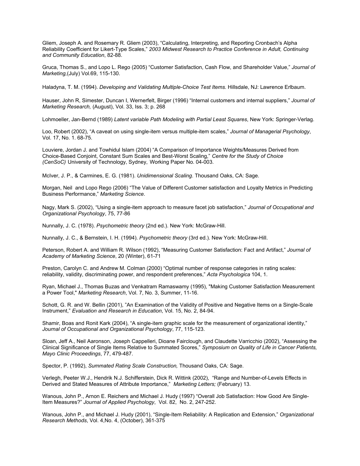Gliem, Joseph A. and Rosemary R. Gliem (2003), "Calculating, Interpreting, and Reporting Cronbach's Alpha Reliability Coefficient for Likert-Type Scales," *2003 Midwest Research to Practice Conference in Adult, Continuing and Community Education*, 82-88.

Gruca, Thomas S., and Lopo L. Rego (2005) "Customer Satisfaction, Cash Flow, and Shareholder Value," *Journal of Marketing,*(July) Vol.69, 115-130.

Haladyna, T. M. (1994). *Developing and Validating Multiple-Choice Test Items.* Hillsdale, NJ: Lawrence Erlbaum.

Hauser, John R, Simester, Duncan I, Wernerfelt, Birger (1996) "Internal customers and internal suppliers," *Journal of Marketing Research,* (August), Vol. 33, Iss. 3; p. 268

Lohmoeller, Jan-Bernd (1989) *Latent variable Path Modeling with Partial Least Squares*, New York: Springer-Verlag.

Loo, Robert (2002), "A caveat on using single-item versus multiple-item scales," *Journal of Managerial Psychology*, Vol. 17, No. 1. 68-75.

Louviere, Jordan J. and Towhidul Islam (2004) "A Comparison of Importance Weights/Measures Derived from Choice-Based Conjoint, Constant Sum Scales and Best-Worst Scaling," *Centre for the Study of Choice (CenSoC)* University of Technology, Sydney, Working Paper No. 04-003.

McIver, J. P., & Carmines, E. G. (1981). *Unidimensional Scaling*. Thousand Oaks, CA: Sage.

Morgan, Neil and Lopo Rego (2006) "The Value of Different Customer satisfaction and Loyalty Metrics in Predicting Business Performance," *Marketing Science*.

Nagy, Mark S. (2002), "Using a single-item approach to measure facet job satisfaction," *Journal of Occupational and Organizational Psychology*, 75, 77-86

Nunnally, J. C. (1978). *Psychometric theory* (2nd ed.). New York: McGraw-Hill.

Nunnally, J. C., & Bernstein, I. H. (1994). *Psychometric theory* (3rd ed.). New York: McGraw-Hill.

Peterson, Robert A. and William R. Wilson (1992), "Measuring Customer Satisfaction: Fact and Artifact," *Journal of Academy of Marketing Science*, 20 (Winter), 61-71

Preston, Carolyn C. and Andrew M. Colman (2000) "Optimal number of response categories in rating scales: reliability, validity, discriminating power, and respondent preferences," *Acta Psychologica* 104, 1.

Ryan, Michael J., Thomas Buzas and Venkatram Ramaswamy (1995), "Making Customer Satisfaction Measurement a Power Tool," *Marketing Research*, Vol. 7, No. 3, Summer, 11-16.

Schott, G. R. and W. Bellin (2001), "An Examination of the Validity of Positive and Negative Items on a Single-Scale Instrument," *Evaluation and Research in Education*, Vol. 15, No. 2, 84-94.

Shamir, Boas and Ronit Kark (2004), "A single-item graphic scale for the measurement of organizational identity," *Journal of Occupational and Organizational Psychology*, 77, 115-123.

Sloan, Jeff A., Neil Aaronson, Joseph Cappelleri, Dioane Fairclough, and Claudette Varricchio (2002), "Assessing the Clinical Significance of Single Items Relative to Summated Scores," *Symposium on Quality of Life in Cancer Patients, Mayo Clinic Proceedings*, 77, 479-487.

Spector, P. (1992), *Summated Rating Scale Construction,* Thousand Oaks, CA: Sage.

Verlegh, Peeter W.J., Hendrik N.J. Schifferstein, Dick R. Wittink (2002), "Range and Number-of-Levels Effects in Derived and Stated Measures of Attribute Importance," *Marketing Letters;* (February) 13.

Wanous, John P., Arnon E. Reichers and Michael J. Hudy (1997) "Overall Job Satisfaction: How Good Are Single-Item Measures?" *Journal of Applied Psychology*, Vol. 82, No. 2, 247-252.

Wanous, John P., and Michael J. Hudy (2001), "Single-Item Reliability: A Replication and Extension," *Organizational Research Methods*, Vol. 4,No. 4, (October), 361-375